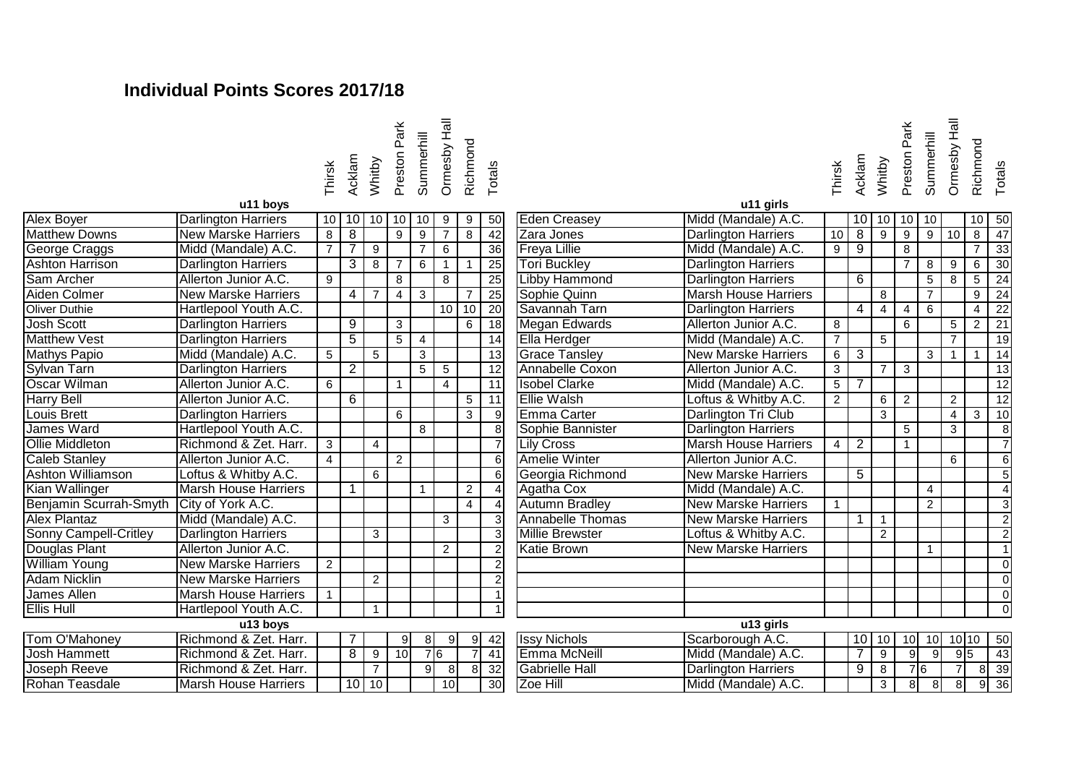## **Individual Points Scores 2017/18**

Preston Park<br>Summerhill Ormesby Hall Ormesby Hall Richmond Summerhill Thirsk Totals Acklam Whitby

| Thirsk | Acklam | Whitby | Preston Park | Summerhill | Ormesby Hall | Richmond | Totals |
|--------|--------|--------|--------------|------------|--------------|----------|--------|
|        |        |        |              |            |              |          |        |

|                              | u i i novo                  |                |                 |                |                |                |                |                |                 |                         | u ı ı yıllı ə              |
|------------------------------|-----------------------------|----------------|-----------------|----------------|----------------|----------------|----------------|----------------|-----------------|-------------------------|----------------------------|
| <b>Alex Boyer</b>            | <b>Darlington Harriers</b>  | 10             |                 | $10$ 10        | 10             | 10             | 9              | 9              | 50              | <b>Eden Creasey</b>     | Midd (Mandale) A.C.        |
| <b>Matthew Downs</b>         | <b>New Marske Harriers</b>  | 8              | 8               |                | 9              | 9              |                | 8              | $\overline{42}$ | Zara Jones              | Darlington Harriers        |
| George Craggs                | Midd (Mandale) A.C.         | $\overline{7}$ |                 | 9              |                | $\overline{7}$ | 6              |                | 36              | <b>Freya Lillie</b>     | Midd (Mandale) A.C.        |
| <b>Ashton Harrison</b>       | <b>Darlington Harriers</b>  |                | 3               | 8              | $\overline{7}$ | 6              |                |                | 25              | <b>Tori Buckley</b>     | <b>Darlington Harriers</b> |
| Sam Archer                   | Allerton Junior A.C.        | 9              |                 |                | 8              |                | 8              |                | $\overline{25}$ | <b>Libby Hammond</b>    | <b>Darlington Harriers</b> |
| Aiden Colmer                 | <b>New Marske Harriers</b>  |                | 4               | $\overline{7}$ | 4              | 3              |                | $\overline{7}$ | $\overline{25}$ | Sophie Quinn            | <b>Marsh House Harrier</b> |
| Oliver Duthie                | Hartlepool Youth A.C.       |                |                 |                |                |                | 10             | 10             | $\overline{20}$ | Savannah Tarn           | <b>Darlington Harriers</b> |
| <b>Josh Scott</b>            | <b>Darlington Harriers</b>  |                | 9               |                | 3              |                |                | 6              | $\overline{18}$ | <b>Megan Edwards</b>    | Allerton Junior A.C.       |
| <b>Matthew Vest</b>          | <b>Darlington Harriers</b>  |                | $\overline{5}$  |                | 5              | 4              |                |                | $\overline{14}$ | <b>Ella Herdger</b>     | Midd (Mandale) A.C.        |
| <b>Mathys Papio</b>          | Midd (Mandale) A.C.         | 5              |                 | 5              |                | 3              |                |                | 13              | <b>Grace Tansley</b>    | <b>New Marske Harriers</b> |
| Sylvan Tarn                  | <b>Darlington Harriers</b>  |                | $\overline{2}$  |                |                | $\overline{5}$ | 5              |                | 12              | Annabelle Coxon         | Allerton Junior A.C.       |
| Oscar Wilman                 | Allerton Junior A.C.        | 6              |                 |                | 1              |                | 4              |                | 11              | <b>Isobel Clarke</b>    | Midd (Mandale) A.C.        |
| <b>Harry Bell</b>            | Allerton Junior A.C.        |                | 6               |                |                |                |                | 5              | 11              | <b>Ellie Walsh</b>      | Loftus & Whitby A.C.       |
| Louis Brett                  | <b>Darlington Harriers</b>  |                |                 |                | 6              |                |                | 3              | $\overline{9}$  | <b>Emma Carter</b>      | Darlington Tri Club        |
| James Ward                   | Hartlepool Youth A.C.       |                |                 |                |                | 8              |                |                | 8               | Sophie Bannister        | <b>Darlington Harriers</b> |
| <b>Ollie Middleton</b>       | Richmond & Zet. Harr.       | 3              |                 | $\overline{4}$ |                |                |                |                |                 | <b>Lily Cross</b>       | <b>Marsh House Harrier</b> |
| <b>Caleb Stanley</b>         | Allerton Junior A.C.        | 4              |                 |                | $\overline{2}$ |                |                |                | 6               | <b>Amelie Winter</b>    | Allerton Junior A.C.       |
| <b>Ashton Williamson</b>     | Loftus & Whitby A.C.        |                |                 | 6              |                |                |                |                | 6               | Georgia Richmond        | <b>New Marske Harriers</b> |
| Kian Wallinger               | <b>Marsh House Harriers</b> |                | 1               |                |                | $\mathbf{1}$   |                | $\overline{2}$ | $\overline{A}$  | Agatha Cox              | Midd (Mandale) A.C.        |
| Benjamin Scurrah-Smyth       | City of York A.C.           |                |                 |                |                |                |                | 4              | 4               | <b>Autumn Bradley</b>   | <b>New Marske Harriers</b> |
| <b>Alex Plantaz</b>          | Midd (Mandale) A.C.         |                |                 |                |                |                | 3              |                | 3               | <b>Annabelle Thomas</b> | <b>New Marske Harriers</b> |
| <b>Sonny Campell-Critley</b> | <b>Darlington Harriers</b>  |                |                 | 3              |                |                |                |                | 3               | <b>Millie Brewster</b>  | Loftus & Whitby A.C.       |
| <b>Douglas Plant</b>         | Allerton Junior A.C.        |                |                 |                |                |                | $\overline{2}$ |                | $\overline{2}$  | <b>Katie Brown</b>      | <b>New Marske Harriers</b> |
| <b>William Young</b>         | <b>New Marske Harriers</b>  | $\overline{2}$ |                 |                |                |                |                |                | $\overline{2}$  |                         |                            |
| Adam Nicklin                 | <b>New Marske Harriers</b>  |                |                 | $\overline{c}$ |                |                |                |                | 2               |                         |                            |
| James Allen                  | <b>Marsh House Harriers</b> | 1              |                 |                |                |                |                |                |                 |                         |                            |
| <b>Ellis Hull</b>            | Hartlepool Youth A.C.       |                |                 | $\mathbf{1}$   |                |                |                |                |                 |                         |                            |
|                              | $\overline{u}$ 13 boys      |                |                 |                |                |                |                |                |                 |                         | u13 girls                  |
| Tom O'Mahoney                | Richmond & Zet. Harr.       |                |                 |                | 9              | 8 <sup>1</sup> | 9              | 9              | 42              | <b>Issy Nichols</b>     | Scarborough A.C.           |
| Josh Hammett                 | Richmond & Zet. Harr.       |                | 8               | 9              | 10             |                | 76             | $\overline{7}$ | $\overline{41}$ | Emma McNeill            | Midd (Mandale) A.C.        |
| Joseph Reeve                 | Richmond & Zet. Harr.       |                |                 | $\overline{7}$ |                | 9              | 8 <sup>1</sup> | 8              | 32              | <b>Gabrielle Hall</b>   | <b>Darlington Harriers</b> |
| Rohan Teasdale               | <b>Marsh House Harriers</b> |                | 10 <sup>1</sup> | 10             |                |                | 10             |                | 30 <sup>°</sup> | Zoe Hill                | Midd (Mandale) A.C.        |
|                              |                             |                |                 |                |                |                |                |                |                 |                         |                            |

| u11 boys            |                |                |                |                |                |                 |                |                 |                         | u11 girls                   |                |                |                |                |                |                |                 |                 |
|---------------------|----------------|----------------|----------------|----------------|----------------|-----------------|----------------|-----------------|-------------------------|-----------------------------|----------------|----------------|----------------|----------------|----------------|----------------|-----------------|-----------------|
| <b>Harriers</b>     | 10             | 10             | 10             | 10             | 10             | 9               | 9              | 50              | <b>Eden Creasey</b>     | Midd (Mandale) A.C.         |                | 10             | 10             | 10             | 10             |                | 10              | $\overline{50}$ |
| ke Harriers         | 8              | $\overline{8}$ |                | 9              | 9              | $\overline{7}$  | 8              | 42              | Zara Jones              | <b>Darlington Harriers</b>  | 10             | 8              | 9              | 9              | 9              | 10             | 8               | 47              |
| dale) A.C.          | $\overline{7}$ | 7              | 9              |                | $\overline{7}$ | 6               |                | $\overline{36}$ | <b>Freya Lillie</b>     | Midd (Mandale) A.C.         | 9              | 9              |                | 8              |                |                | 7               | 33              |
| <b>Harriers</b>     |                | $\overline{3}$ | 8              | $\overline{7}$ | 6              |                 | 1              | $\overline{25}$ | <b>Tori Buckley</b>     | <b>Darlington Harriers</b>  |                |                |                | $\overline{7}$ | 8              | 9              | 6               | 30              |
| nior A.C.           | 9              |                |                | 8              |                | 8               |                | $\overline{25}$ | <b>Libby Hammond</b>    | <b>Darlington Harriers</b>  |                | 6              |                |                | 5              | 8              | 5               | 24              |
| ke Harriers         |                | $\overline{4}$ | $\overline{7}$ | $\overline{4}$ | 3              |                 | $\overline{7}$ | $\overline{25}$ | Sophie Quinn            | <b>Marsh House Harriers</b> |                |                | 8              |                | $\overline{7}$ |                | 9               | 24              |
| Youth A.C.          |                |                |                |                |                | 10 <sup>1</sup> | 10             | 20              | Savannah Tarn           | <b>Darlington Harriers</b>  |                | 4              | $\overline{4}$ | 4              | 6              |                | $\overline{4}$  | 22              |
| <b>Harriers</b>     |                | $\overline{9}$ |                | 3              |                |                 | 6              | 18              | <b>Megan Edwards</b>    | Allerton Junior A.C.        | $\overline{8}$ |                |                | 6              |                | 5              | $\overline{2}$  | $\overline{21}$ |
| <b>Harriers</b>     |                | $\overline{5}$ |                | 5              | 4              |                 |                | 14              | Ella Herdger            | Midd (Mandale) A.C.         | $\overline{7}$ |                | 5              |                |                | $\overline{7}$ |                 | $\overline{19}$ |
| dale) A.C.          | 5              |                | 5              |                | 3              |                 |                | 13              | <b>Grace Tansley</b>    | <b>New Marske Harriers</b>  | 6              | $\overline{3}$ |                |                | 3              | 1              | -1              | 14              |
| <b>Harriers</b>     |                | $\overline{2}$ |                |                | $\overline{5}$ | $\overline{5}$  |                | $\overline{12}$ | Annabelle Coxon         | Allerton Junior A.C.        | $\overline{3}$ |                | $\overline{7}$ | 3              |                |                |                 | $\overline{13}$ |
| nior A.C.           | 6              |                |                | 1              |                | $\overline{4}$  |                | 11              | <b>Isobel Clarke</b>    | Midd (Mandale) A.C.         | 5              | 7              |                |                |                |                |                 | 12              |
| nior A.C.           |                | $\overline{6}$ |                |                |                |                 | 5              | 11              | <b>Ellie Walsh</b>      | Loftus & Whitby A.C.        | $\overline{2}$ |                | 6              | $\overline{2}$ |                | $\overline{2}$ |                 | 12              |
| <b>Harriers</b>     |                |                |                | 6              |                |                 | 3              | $\vert 9 \vert$ | Emma Carter             | Darlington Tri Club         |                |                | 3              |                |                | $\overline{4}$ | 3               | 10              |
| Youth A.C.          |                |                |                |                | 8              |                 |                | $\overline{8}$  | Sophie Bannister        | <b>Darlington Harriers</b>  |                |                |                | 5              |                | 3              |                 | 8               |
| & Zet. Harr.        | 3              |                | 4              |                |                |                 |                | $\overline{7}$  | <b>Lily Cross</b>       | <b>Marsh House Harriers</b> | 4              | $\overline{2}$ |                |                |                |                |                 | $\overline{7}$  |
| nior A.C.           | 4              |                |                | $\overline{2}$ |                |                 |                | 6               | <b>Amelie Winter</b>    | Allerton Junior A.C.        |                |                |                |                |                | 6              |                 | 6               |
| hitby A.C.          |                |                | 6              |                |                |                 |                | $\overline{6}$  | Georgia Richmond        | <b>New Marske Harriers</b>  |                | $\overline{5}$ |                |                |                |                |                 | $\overline{5}$  |
| <b>ise Harriers</b> |                |                |                |                | 1              |                 | $\overline{2}$ | $\vert 4 \vert$ | Agatha Cox              | Midd (Mandale) A.C.         |                |                |                |                | 4              |                |                 | 4               |
| k A.C.              |                |                |                |                |                |                 | $\overline{4}$ | 4               | <b>Autumn Bradley</b>   | <b>New Marske Harriers</b>  |                |                |                |                | 2              |                |                 | 3               |
| dale) A.C.          |                |                |                |                |                | 3               |                | $\overline{3}$  | <b>Annabelle Thomas</b> | <b>New Marske Harriers</b>  |                | 1              | $\mathbf{1}$   |                |                |                |                 | $\overline{2}$  |
| <b>Harriers</b>     |                |                | 3              |                |                |                 |                | $\overline{3}$  | <b>Millie Brewster</b>  | Loftus & Whitby A.C.        |                |                | 2              |                |                |                |                 | $\overline{2}$  |
| nior A.C.           |                |                |                |                |                | $\overline{2}$  |                | $\overline{c}$  | <b>Katie Brown</b>      | <b>New Marske Harriers</b>  |                |                |                |                |                |                |                 | $\mathbf{1}$    |
| ke Harriers         | 2              |                |                |                |                |                 |                | $\overline{2}$  |                         |                             |                |                |                |                |                |                |                 | $\mathbf 0$     |
| <b>ke Harriers</b>  |                |                | $\overline{2}$ |                |                |                 |                | $\overline{2}$  |                         |                             |                |                |                |                |                |                |                 | $\Omega$        |
| <b>use Harriers</b> | $\mathbf{1}$   |                |                |                |                |                 |                | 1               |                         |                             |                |                |                |                |                |                |                 | $\mathbf 0$     |
| Youth A.C.          |                |                | 1              |                |                |                 |                | 1               |                         |                             |                |                |                |                |                |                |                 | $\Omega$        |
| u13 boys            |                |                |                |                |                |                 |                |                 |                         | u13 girls                   |                |                |                |                |                |                |                 |                 |
| & Zet. Harr.        |                |                |                | 9              | 8 <sup>1</sup> | 9               | 9              | 42              | <b>Issy Nichols</b>     | Scarborough A.C.            |                | 10             | 10             | 10             | 10             | 10 10          |                 | 50              |
| & Zet. Harr.        |                | $\overline{8}$ | 9              | 10             | 76             |                 |                | $\overline{41}$ | Emma McNeill            | Midd (Mandale) A.C.         |                | 7              | 9              | 9              | 9              |                | $9\overline{5}$ | 43              |
| & Zet. Harr.        |                |                | $\overline{7}$ |                | $\overline{9}$ | $\bf 8$         | 8              | 32              | <b>Gabrielle Hall</b>   | <b>Darlington Harriers</b>  |                | 9              | 8              | 76             |                |                | 8 <sup>1</sup>  | 39              |
| ise Harriers        |                | 10             | 10             |                |                | 10              |                | 30 <sup>1</sup> | Zoe Hill                | Midd (Mandale) A.C.         |                |                | 3              | 8 <sup>1</sup> | 8 <sup>1</sup> | 8 <sup>1</sup> | 9               | $\overline{36}$ |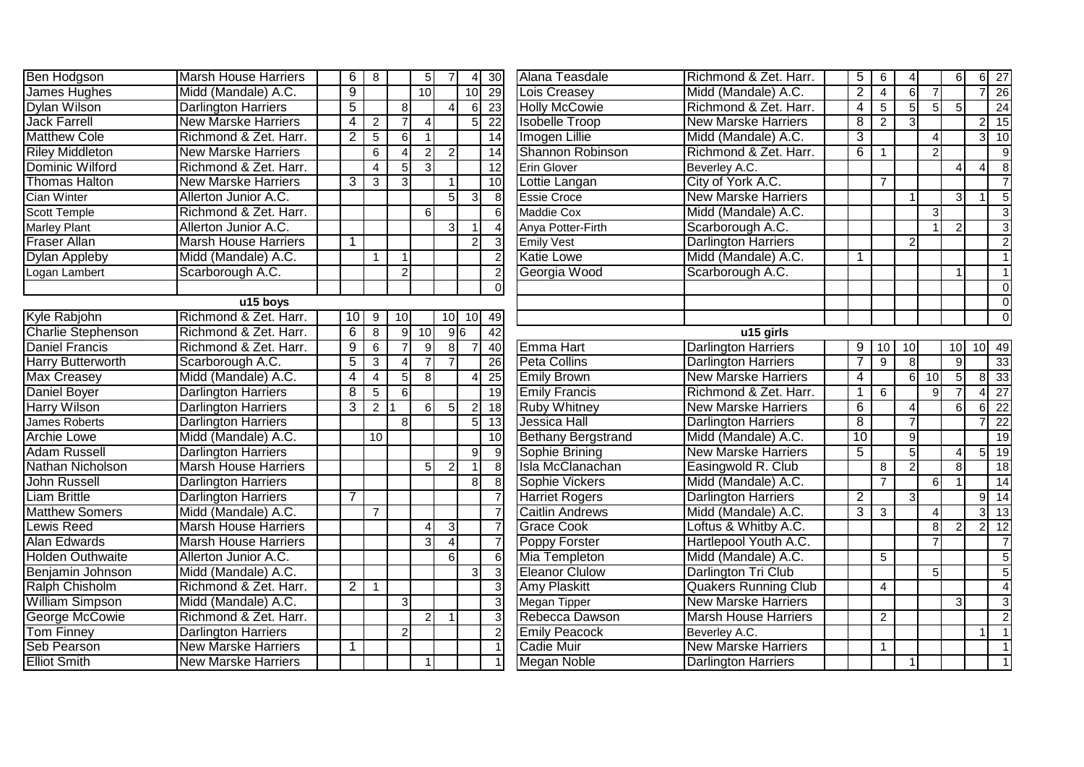| <b>Ben Hodgson</b>        | <b>Marsh House Harriers</b> | 6              | $\bf8$                  |                  | 5 <sub>5</sub> |                 | $\overline{4}$ | $\overline{30}$ | Alana Teasdale            | Richmond & Zet. Harr.       | $\overline{5}$      | 6              | $\overline{4}$   |                | $6\phantom{1}6$        |                | $6 \overline{\smash{)}27}$ |
|---------------------------|-----------------------------|----------------|-------------------------|------------------|----------------|-----------------|----------------|-----------------|---------------------------|-----------------------------|---------------------|----------------|------------------|----------------|------------------------|----------------|----------------------------|
| James Hughes              | Midd (Mandale) A.C.         | $\overline{9}$ |                         |                  | 10             |                 | 10             | 29              | Lois Creasey              | Midd (Mandale) A.C.         | $\overline{2}$      | $\overline{4}$ | $6 \overline{6}$ |                |                        |                | 26                         |
| Dylan Wilson              | <b>Darlington Harriers</b>  | $\overline{5}$ |                         | 8 <sup>1</sup>   |                |                 | 6              | 23              | <b>Holly McCowie</b>      | Richmond & Zet. Harr.       | $\overline{4}$      | 5 <sup>5</sup> | 5                | 5 <sub>l</sub> | 5                      |                | 24                         |
| <b>Jack Farrell</b>       | <b>New Marske Harriers</b>  | 4              | $\overline{2}$          |                  | $\Lambda$      |                 | 5              | 22              | <b>Isobelle Troop</b>     | <b>New Marske Harriers</b>  | $\overline{\infty}$ | $\overline{2}$ | $\overline{3}$   |                |                        |                | $2 \mid 15$                |
| <b>Matthew Cole</b>       | Richmond & Zet. Harr.       | $\overline{2}$ | $\overline{5}$          | $6 \overline{6}$ | $\overline{1}$ |                 |                | 14              | Imogen Lillie             | Midd (Mandale) A.C.         | $\overline{3}$      |                |                  | $\overline{4}$ |                        | $3\sqrt{ }$    | 10                         |
| <b>Riley Middleton</b>    | <b>New Marske Harriers</b>  |                | 6                       | $\Delta$         | $\overline{2}$ | $\overline{2}$  |                | $\overline{14}$ | Shannon Robinson          | Richmond & Zet. Harr.       | 6                   | -1             |                  | $\overline{2}$ |                        |                | $\overline{9}$             |
| Dominic Wilford           | Richmond & Zet. Harr.       |                | $\overline{\mathbf{4}}$ | $5 \overline{5}$ | $\mathcal{E}$  |                 |                | 12              | <b>Erin Glover</b>        | Beverley A.C.               |                     |                |                  |                | $\overline{4}$         | $\overline{4}$ | $\overline{8}$             |
| <b>Thomas Halton</b>      | <b>New Marske Harriers</b>  | 3              | 3                       | 3                |                |                 |                | $\overline{10}$ | Lottie Langan             | City of York A.C.           |                     | $\overline{7}$ |                  |                |                        |                | $\overline{7}$             |
| <b>Cian Winter</b>        | Allerton Junior A.C.        |                |                         |                  |                | 5 <sup>1</sup>  | 3              |                 | <b>Essie Croce</b>        | <b>New Marske Harriers</b>  |                     |                |                  |                | 3                      |                | $\overline{5}$             |
| <b>Scott Temple</b>       | Richmond & Zet. Harr.       |                |                         |                  | 6              |                 |                |                 | <b>Maddie Cox</b>         | Midd (Mandale) A.C.         |                     |                |                  | $\overline{3}$ |                        |                | $\mathbf{3}$               |
| <b>Marley Plant</b>       | Allerton Junior A.C.        |                |                         |                  |                | 3I              |                |                 | Anya Potter-Firth         | Scarborough A.C.            |                     |                |                  |                | 2                      |                | دى                         |
| <b>Fraser Allan</b>       | <b>Marsh House Harriers</b> | $\mathbf{1}$   |                         |                  |                |                 | $\overline{2}$ |                 | <b>Emily Vest</b>         | <b>Darlington Harriers</b>  |                     |                | $\overline{2}$   |                |                        |                | $\overline{2}$             |
| <b>Dylan Appleby</b>      | Midd (Mandale) A.C.         |                | $\mathbf{1}$            |                  |                |                 |                |                 | <b>Katie Lowe</b>         | Midd (Mandale) A.C.         | $\mathbf 1$         |                |                  |                |                        |                | $\overline{1}$             |
| Logan Lambert             | Scarborough A.C.            |                |                         | $\overline{2}$   |                |                 |                |                 | Georgia Wood              | Scarborough A.C.            |                     |                |                  |                |                        |                | $\overline{1}$             |
|                           |                             |                |                         |                  |                |                 |                | $\Omega$        |                           |                             |                     |                |                  |                |                        |                | $\overline{0}$             |
|                           | u15 boys                    |                |                         |                  |                |                 |                |                 |                           |                             |                     |                |                  |                |                        |                | $\overline{0}$             |
| Kyle Rabjohn              | Richmond & Zet. Harr.       | 10             | 9                       | 10               |                | 10 <sub>1</sub> | 10             | 49              |                           |                             |                     |                |                  |                |                        |                | $\Omega$                   |
| <b>Charlie Stephenson</b> | Richmond & Zet. Harr.       | 6              | $\overline{8}$          | 9 <sup>1</sup>   | 10             |                 | 96             | 42              |                           | u15 girls                   |                     |                |                  |                |                        |                |                            |
| <b>Daniel Francis</b>     | Richmond & Zet. Harr.       | $\overline{9}$ | $\overline{6}$          | $\overline{7}$   | $\overline{9}$ | 8 <sup>1</sup>  | $\overline{7}$ | 40              | Emma Hart                 | <b>Darlington Harriers</b>  | 9                   | 10             | 10               |                | 10                     |                | $10$ 49                    |
| Harry Butterworth         | Scarborough A.C.            | $\overline{5}$ | 3                       | $\Lambda$        | $\overline{7}$ |                 |                | 26              | <b>Peta Collins</b>       | <b>Darlington Harriers</b>  | $\overline{7}$      | $\overline{9}$ | $\overline{8}$   |                | 9                      |                | $\overline{33}$            |
| Max Creasey               | Midd (Mandale) A.C.         | 4              | $\overline{4}$          | 5                | 8 <sup>°</sup> |                 |                | $\overline{25}$ | <b>Emily Brown</b>        | <b>New Marske Harriers</b>  | 4                   |                | 6                | 10             | $5\overline{)}$        | $\overline{8}$ | 33                         |
| Daniel Boyer              | <b>Darlington Harriers</b>  | 8              | 5                       | $6 \mid$         |                |                 |                | $\overline{19}$ | <b>Emily Francis</b>      | Richmond & Zet. Harr.       | $\mathbf 1$         | 6              |                  | $\mathsf{Q}$   |                        |                | $\overline{27}$            |
| <b>Harry Wilson</b>       | <b>Darlington Harriers</b>  | $\overline{3}$ | $\overline{2}$          |                  | 6              | 5 <sup>1</sup>  | $\overline{2}$ | $\overline{18}$ | <b>Ruby Whitney</b>       | <b>New Marske Harriers</b>  | 6                   |                | $\vert$          |                | 6                      | $6 \mid$       | $\overline{22}$            |
| <b>James Roberts</b>      | <b>Darlington Harriers</b>  |                |                         | 8                |                |                 | 5              | $\overline{13}$ | Jessica Hall              | <b>Darlington Harriers</b>  | $\overline{8}$      |                | $\overline{7}$   |                |                        |                | $\overline{22}$            |
| <b>Archie Lowe</b>        | Midd (Mandale) A.C.         |                | $\overline{10}$         |                  |                |                 |                | 10              | <b>Bethany Bergstrand</b> | Midd (Mandale) A.C.         | 10                  |                | $\overline{9}$   |                |                        |                | 19                         |
| <b>Adam Russell</b>       | <b>Darlington Harriers</b>  |                |                         |                  |                |                 | 9              |                 | Sophie Brining            | <b>New Marske Harriers</b>  | $\overline{5}$      |                | $\overline{5}$   |                | $\boldsymbol{\Lambda}$ | $\overline{5}$ | 19                         |
| Nathan Nicholson          | <b>Marsh House Harriers</b> |                |                         |                  | 5 <sup>1</sup> | $\mathcal{P}$   | -1             | 8               | Isla McClanachan          | Easingwold R. Club          |                     | 8              | $\overline{2}$   |                | 8                      |                | 18                         |
| <b>John Russell</b>       | <b>Darlington Harriers</b>  |                |                         |                  |                |                 | 8              |                 | Sophie Vickers            | Midd (Mandale) A.C.         |                     | $\overline{7}$ |                  | $6 \mid$       |                        |                | 14                         |
| <b>Liam Brittle</b>       | <b>Darlington Harriers</b>  | 7              |                         |                  |                |                 |                |                 | <b>Harriet Rogers</b>     | <b>Darlington Harriers</b>  | $\overline{2}$      |                | 3                |                |                        | 9              | $\overline{14}$            |
| <b>Matthew Somers</b>     | Midd (Mandale) A.C.         |                | $\overline{7}$          |                  |                |                 |                |                 | <b>Caitlin Andrews</b>    | Midd (Mandale) A.C.         | $\overline{3}$      | $\overline{3}$ |                  | $\overline{4}$ |                        | $\overline{3}$ | $\overline{13}$            |
| <b>Lewis Reed</b>         | <b>Marsh House Harriers</b> |                |                         |                  | $\vert$        | $\overline{3}$  |                |                 | <b>Grace Cook</b>         | Loftus & Whitby A.C.        |                     |                |                  | 8 <sup>1</sup> | $\overline{2}$         | 2              | 12                         |
| Alan Edwards              | <b>Marsh House Harriers</b> |                |                         |                  | $\overline{3}$ | $\overline{4}$  |                |                 | Poppy Forster             | Hartlepool Youth A.C.       |                     |                |                  |                |                        |                | $\overline{7}$             |
| <b>Holden Outhwaite</b>   | Allerton Junior A.C.        |                |                         |                  |                | $6 \mid$        |                |                 | Mia Templeton             | Midd (Mandale) A.C.         |                     | $\overline{5}$ |                  |                |                        |                | $\overline{5}$             |
| Benjamin Johnson          | Midd (Mandale) A.C.         |                |                         |                  |                |                 | 3              |                 | <b>Eleanor Clulow</b>     | Darlington Tri Club         |                     |                |                  | 5 <sub>l</sub> |                        |                | $\overline{5}$             |
| Ralph Chisholm            | Richmond & Zet. Harr.       | $\overline{c}$ | $\mathbf 1$             |                  |                |                 |                |                 | <b>Amy Plaskitt</b>       | <b>Quakers Running Club</b> |                     | $\overline{4}$ |                  |                |                        |                | $\overline{4}$             |
| <b>William Simpson</b>    | Midd (Mandale) A.C.         |                |                         | $\mathbf{3}$     |                |                 |                |                 | <b>Megan Tipper</b>       | <b>New Marske Harriers</b>  |                     |                |                  |                | 3                      |                | $\mathbf{3}$               |
| George McCowie            | Richmond & Zet. Harr.       |                |                         |                  | $\overline{2}$ |                 |                |                 | Rebecca Dawson            | <b>Marsh House Harriers</b> |                     | $\overline{2}$ |                  |                |                        |                | $\overline{2}$             |
| <b>Tom Finney</b>         | <b>Darlington Harriers</b>  |                |                         | $\overline{c}$   |                |                 |                |                 | <b>Emily Peacock</b>      | Beverley A.C.               |                     |                |                  |                |                        |                |                            |
| Seb Pearson               | <b>New Marske Harriers</b>  | 1              |                         |                  |                |                 |                |                 | <b>Cadie Muir</b>         | <b>New Marske Harriers</b>  |                     | $\mathbf{1}$   |                  |                |                        |                |                            |
| <b>Elliot Smith</b>       | <b>New Marske Harriers</b>  |                |                         |                  | $\mathbf 1$    |                 |                |                 | <b>Megan Noble</b>        | <b>Darlington Harriers</b>  |                     |                |                  |                |                        |                |                            |
|                           |                             |                |                         |                  |                |                 |                |                 |                           |                             |                     |                |                  |                |                        |                |                            |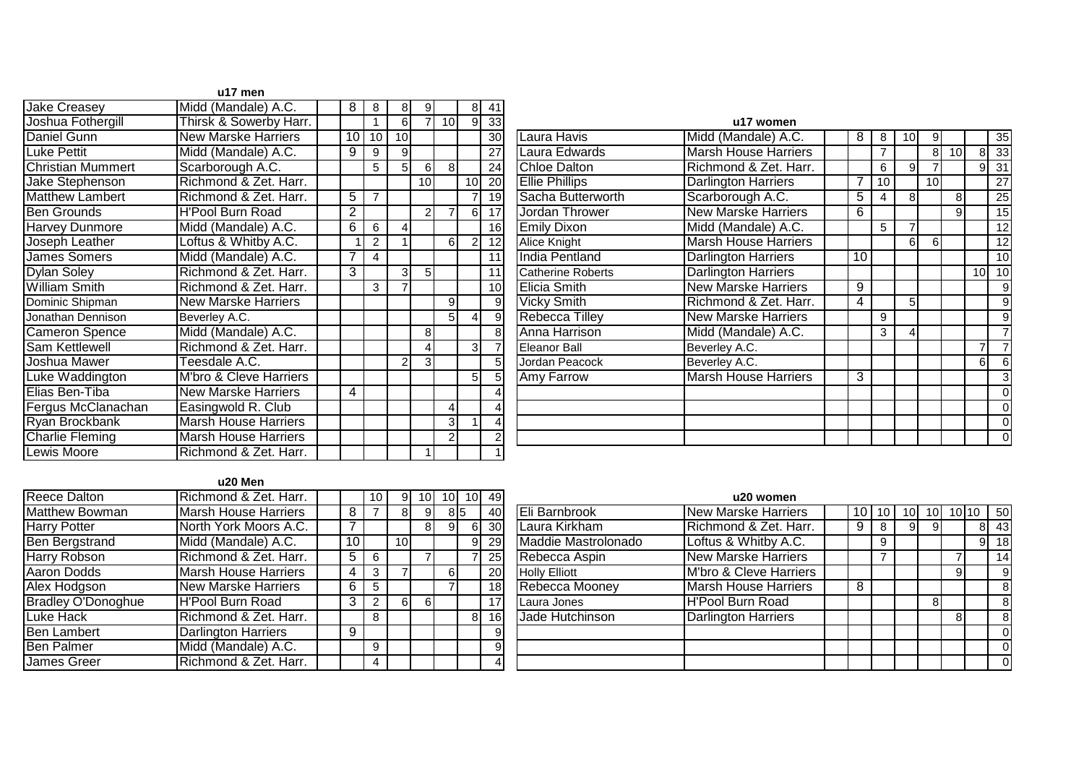|                          | u17 men                     |                 |                 |                 |                 |                 |                |                 |                          |                            |
|--------------------------|-----------------------------|-----------------|-----------------|-----------------|-----------------|-----------------|----------------|-----------------|--------------------------|----------------------------|
| <b>Jake Creasey</b>      | Midd (Mandale) A.C.         | 8               | 8               | 8               | 91              |                 | 8 <sup>1</sup> | 41              |                          |                            |
| Joshua Fothergill        | Thirsk & Sowerby Harr.      |                 |                 | 6               |                 | 10 <sup>1</sup> | 9              | 33              |                          | u17 women                  |
| Daniel Gunn              | <b>New Marske Harriers</b>  | $\overline{10}$ | 10 <sup>1</sup> | 10 <sup>1</sup> |                 |                 |                | 30 <sup>°</sup> | Laura Havis              | Midd (Mandale) A.C.        |
| <b>Luke Pettit</b>       | Midd (Mandale) A.C.         | 9               | 9               | $\overline{9}$  |                 |                 |                | 27              | Laura Edwards            | <b>Marsh House Harrier</b> |
| <b>Christian Mummert</b> | Scarborough A.C.            |                 | 5               | 5 <sub>l</sub>  | $6 \mid$        | 8 <sup>1</sup>  |                | 24              | <b>Chloe Dalton</b>      | Richmond & Zet. Ha         |
| Jake Stephenson          | Richmond & Zet. Harr.       |                 |                 |                 | 10 <sup>1</sup> |                 | 10             | 20              | <b>Ellie Phillips</b>    | <b>Darlington Harriers</b> |
| <b>Matthew Lambert</b>   | Richmond & Zet. Harr.       | 5               | $\overline{7}$  |                 |                 |                 | 71             | 19              | Sacha Butterworth        | Scarborough A.C.           |
| <b>Ben Grounds</b>       | <b>H'Pool Burn Road</b>     | $\overline{2}$  |                 |                 |                 | $\overline{7}$  | 6              | 17              | Jordan Thrower           | <b>New Marske Harriers</b> |
| <b>Harvey Dunmore</b>    | Midd (Mandale) A.C.         | 6               | 6               | 4               |                 |                 |                | 16              | <b>Emily Dixon</b>       | Midd (Mandale) A.C.        |
| Joseph Leather           | Loftus & Whitby A.C.        |                 | 2               |                 |                 | 61              | 2 <sub>l</sub> | 12              | <b>Alice Knight</b>      | <b>Marsh House Harrier</b> |
| <b>James Somers</b>      | Midd (Mandale) A.C.         | 7               | 4               |                 |                 |                 |                | 11              | India Pentland           | <b>Darlington Harriers</b> |
| <b>Dylan Soley</b>       | Richmond & Zet. Harr.       | 3               |                 | $\overline{3}$  | 5 <sub>l</sub>  |                 |                | 11              | <b>Catherine Roberts</b> | <b>Darlington Harriers</b> |
| <b>William Smith</b>     | Richmond & Zet. Harr.       |                 | 3               | 7               |                 |                 |                | 10              | <b>Elicia Smith</b>      | <b>New Marske Harriers</b> |
| Dominic Shipman          | <b>New Marske Harriers</b>  |                 |                 |                 |                 | 9               |                | 9               | <b>Vicky Smith</b>       | Richmond & Zet. Ha         |
| Jonathan Dennison        | Beverley A.C.               |                 |                 |                 |                 | 5 <sup>1</sup>  | $\overline{4}$ | 9               | Rebecca Tilley           | <b>New Marske Harriers</b> |
| <b>Cameron Spence</b>    | Midd (Mandale) A.C.         |                 |                 |                 | 8               |                 |                | 8               | Anna Harrison            | Midd (Mandale) A.C.        |
| Sam Kettlewell           | Richmond & Zet. Harr.       |                 |                 |                 |                 |                 | 3 <sup>l</sup> |                 | Eleanor Ball             | Beverley A.C.              |
| Joshua Mawer             | Teesdale A.C.               |                 |                 | 2               | 3               |                 |                | 5               | Jordan Peacock           | Beverley A.C.              |
| Luke Waddington          | M'bro & Cleve Harriers      |                 |                 |                 |                 |                 | 5 <sub>l</sub> |                 | Amy Farrow               | Marsh House Harrier        |
| Elias Ben-Tiba           | <b>New Marske Harriers</b>  | 4               |                 |                 |                 |                 |                |                 |                          |                            |
| Fergus McClanachan       | Easingwold R. Club          |                 |                 |                 |                 | 4               |                | 4               |                          |                            |
| Ryan Brockbank           | <b>Marsh House Harriers</b> |                 |                 |                 |                 | 3               | 11             | 4               |                          |                            |
| <b>Charlie Fleming</b>   | <b>Marsh House Harriers</b> |                 |                 |                 |                 | $\overline{2}$  |                | 2               |                          |                            |
| <b>Lewis Moore</b>       | Richmond & Zet. Harr.       |                 |                 |                 |                 |                 |                |                 |                          |                            |

| 1               | 6  |                 | 10I            | 9              | 33              |                          | u17 women                   |                |    |                 |    |                 |                |                 |
|-----------------|----|-----------------|----------------|----------------|-----------------|--------------------------|-----------------------------|----------------|----|-----------------|----|-----------------|----------------|-----------------|
| $\overline{10}$ | 10 |                 |                |                | 30 <sup>2</sup> | Laura Havis              | Midd (Mandale) A.C.         | 8              | 8  | 10 <sup>1</sup> | 9  |                 |                | 35              |
| $\frac{9}{5}$   | 9  |                 |                |                | 27              | Laura Edwards            | <b>Marsh House Harriers</b> |                | 7  |                 | 8  | 10 <sup>1</sup> | 8 <sup>1</sup> | 33              |
|                 | 5  | $6 \mid$        | 8 <sup>1</sup> |                | 24              | <b>Chloe Dalton</b>      | Richmond & Zet. Harr.       |                | 6  | $\overline{9}$  |    |                 | $\overline{9}$ | 31              |
|                 |    | 10 <sup>1</sup> |                | 10             | 20              | <b>Ellie Phillips</b>    | <b>Darlington Harriers</b>  | $\overline{7}$ | 10 |                 | 10 |                 |                | $\overline{27}$ |
| $\overline{7}$  |    |                 |                |                | 19              | Sacha Butterworth        | Scarborough A.C.            | 5              | 4  | 8 <sup>1</sup>  |    | 8               |                | 25              |
|                 |    | $\overline{2}$  | 7              | 6              | 17              | Jordan Thrower           | <b>New Marske Harriers</b>  | 6              |    |                 |    | 9               |                | 15              |
| 6               | 4  |                 |                |                | 16              | <b>Emily Dixon</b>       | Midd (Mandale) A.C.         |                | 5  |                 |    |                 |                | 12              |
| $\overline{2}$  |    |                 | 6 <sup>1</sup> | $\overline{2}$ | 12              | Alice Knight             | <b>Marsh House Harriers</b> |                |    | $6 \mid$        | 6  |                 |                | 12              |
| 4               |    |                 |                |                | 11              | <b>India Pentland</b>    | <b>Darlington Harriers</b>  | 10             |    |                 |    |                 |                | 10              |
|                 | 3  | 5 <sup>1</sup>  |                |                | 11              | <b>Catherine Roberts</b> | <b>Darlington Harriers</b>  |                |    |                 |    |                 | 10             | 10              |
| 3               |    |                 |                |                | 10              | <b>Elicia Smith</b>      | <b>New Marske Harriers</b>  | 9              |    |                 |    |                 |                | 9               |
|                 |    |                 | 9              |                | 9               | <b>Vicky Smith</b>       | Richmond & Zet. Harr.       | 4              |    | 5               |    |                 |                | 9               |
|                 |    |                 | 5              | 4              | $\overline{9}$  | <b>Rebecca Tilley</b>    | <b>New Marske Harriers</b>  |                | 9  |                 |    |                 |                | 9               |
|                 |    | 8 <sup>1</sup>  |                |                | 8 <sup>1</sup>  | Anna Harrison            | Midd (Mandale) A.C.         |                | 3  | $\vert$         |    |                 |                |                 |
|                 |    | 4               |                | 3              |                 | Eleanor Ball             | Beverley A.C.               |                |    |                 |    |                 | 7              |                 |
|                 | 2  | 3 <sup>1</sup>  |                |                | $5\overline{)}$ | Jordan Peacock           | Beverley A.C.               |                |    |                 |    |                 | 6              | 6               |
|                 |    |                 |                | 5              | 5               | <b>Amy Farrow</b>        | <b>Marsh House Harriers</b> | 3              |    |                 |    |                 |                | 3               |
|                 |    |                 |                |                | 4               |                          |                             |                |    |                 |    |                 |                | $\Omega$        |
|                 |    |                 | 4              |                | 4               |                          |                             |                |    |                 |    |                 |                | $\mathbf{0}$    |
|                 |    |                 | 3              |                | 4               |                          |                             |                |    |                 |    |                 |                | $\mathbf{0}$    |
|                 |    |                 | 2              |                | 2               |                          |                             |                |    |                 |    |                 |                | $\overline{0}$  |
|                 |    | $\overline{4}$  |                |                |                 |                          |                             |                |    |                 |    |                 |                |                 |

## **u20 Men**

| <b>Reece Dalton</b>       | Richmond & Zet. Harr.       |                 | 10 | 9               | 10             |     | 10 | 49              |
|---------------------------|-----------------------------|-----------------|----|-----------------|----------------|-----|----|-----------------|
| <b>Matthew Bowman</b>     | <b>Marsh House Harriers</b> | 8               |    | 8               |                | 815 |    | 40              |
| <b>Harry Potter</b>       | North York Moors A.C.       |                 |    |                 | 8 <sup>1</sup> | 9   | 6  | 30 <sub>1</sub> |
| <b>Ben Bergstrand</b>     | Midd (Mandale) A.C.         | 10 <sup>1</sup> |    | 10 <sup>1</sup> |                |     | 9  | 29              |
| <b>Harry Robson</b>       | Richmond & Zet. Harr.       | 5               | 6  |                 |                |     |    | 25              |
| <b>Aaron Dodds</b>        | <b>Marsh House Harriers</b> | 4               | 3  |                 |                | 6   |    | 20              |
| Alex Hodgson              | <b>New Marske Harriers</b>  | 6               | 5  |                 |                |     |    | 18 <sup>1</sup> |
| <b>Bradley O'Donoghue</b> | H'Pool Burn Road            | 3               | 2  | 6               | 61             |     |    | 17 <sup>1</sup> |
| <b>Luke Hack</b>          | Richmond & Zet. Harr.       |                 | 8  |                 |                |     | 8  | 16 <sup>1</sup> |
| <b>Ben Lambert</b>        | <b>Darlington Harriers</b>  | 9               |    |                 |                |     |    | $\vert 9 \vert$ |
| <b>Ben Palmer</b>         | Midd (Mandale) A.C.         |                 | 9  |                 |                |     |    | $\vert 9 \vert$ |
| <b>James Greer</b>        | Richmond & Zet. Harr.       |                 | 4  |                 |                |     |    | 4               |

| ٥I                 | 10 <sub>1</sub> | 10 | 49              |                      | u20 women                   |    |   |     |    |   |       |    |
|--------------------|-----------------|----|-----------------|----------------------|-----------------------------|----|---|-----|----|---|-------|----|
| $\overline{9}$     | 8 <sub>5</sub>  |    | 40              | Eli Barnbrook        | <b>New Marske Harriers</b>  | 10 |   | 101 | ЮI |   | 10110 | 50 |
| $\overline{\bf 8}$ |                 | 6  | 30              | Laura Kirkham        | Richmond & Zet. Harr.       | 9  | 8 | 9   | 9  |   | 8     | 43 |
|                    |                 | 9  | 29              | Maddie Mastrolonado  | Loftus & Whitby A.C.        |    | 9 |     |    |   | 9     | 18 |
|                    |                 |    | 25              | Rebecca Aspin        | <b>New Marske Harriers</b>  |    | 7 |     |    |   |       | 14 |
|                    | 6               |    | 20              | <b>Holly Elliott</b> | M'bro & Cleve Harriers      |    |   |     |    | 9 |       | 9  |
|                    |                 |    | 18              | Rebecca Mooney       | <b>Marsh House Harriers</b> | 8  |   |     |    |   |       | 8  |
| 61                 |                 |    | 17 <sub>1</sub> | Laura Jones          | <b>H'Pool Burn Road</b>     |    |   |     | 8  |   |       | 8  |
|                    |                 | 8  | 16              | Jade Hutchinson      | <b>Darlington Harriers</b>  |    |   |     |    | 8 |       | 8  |
|                    |                 |    | 9               |                      |                             |    |   |     |    |   |       | 0  |
|                    |                 |    | 9               |                      |                             |    |   |     |    |   |       | 0  |
|                    |                 |    |                 |                      |                             |    |   |     |    |   |       | 0  |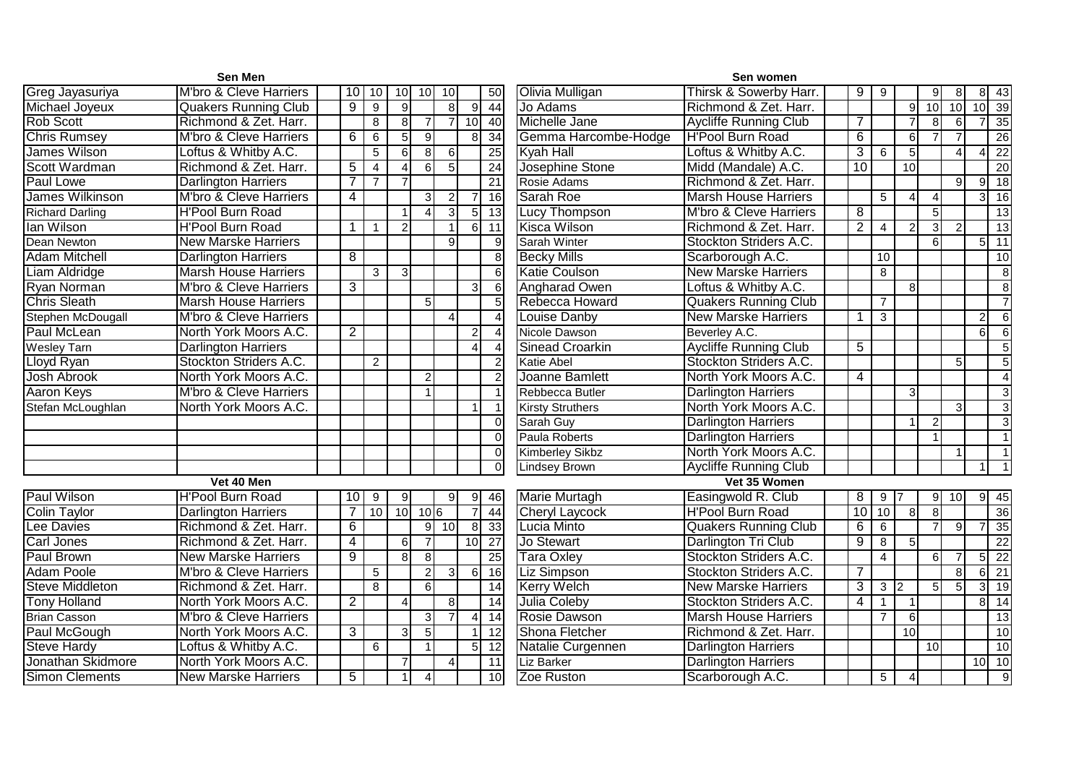|                        | Sen Men                     |                |                |                          |                   |                 |                |                 |                         | Sen women                         |                |                |                        |                 |                        |                  |                              |
|------------------------|-----------------------------|----------------|----------------|--------------------------|-------------------|-----------------|----------------|-----------------|-------------------------|-----------------------------------|----------------|----------------|------------------------|-----------------|------------------------|------------------|------------------------------|
| Greg Jayasuriya        | M'bro & Cleve Harriers      | 10             | 10             | 10                       | 10 <sup>1</sup>   | 10              |                | 50              | Olivia Mulligan         | Thirsk & Sowerby Harr.            | 9              | 9              |                        | 9               | 8                      |                  | $8$   43                     |
| Michael Joyeux         | <b>Quakers Running Club</b> | $\overline{9}$ | 9              | 9                        |                   | 8I              | 9              | 44              | Jo Adams                | Richmond & Zet. Harr.             |                |                | 9                      | 10 <sup>1</sup> | $\overline{10}$        |                  | $10 \overline{)39}$          |
| <b>Rob Scott</b>       | Richmond & Zet. Harr.       |                | $\bf 8$        | 8                        | $\overline{7}$    | 7 <sup>1</sup>  | 10             | 40              | Michelle Jane           | <b>Aycliffe Running Club</b>      | $\overline{7}$ |                | $\overline{7}$         | 8 <sup>1</sup>  | 6                      |                  | 35                           |
| <b>Chris Rumsey</b>    | M'bro & Cleve Harriers      | $\overline{6}$ | $\,6$          | $\overline{5}$           | $\overline{9}$    |                 | 8              | $\overline{34}$ | Gemma Harcombe-Hodge    | H'Pool Burn Road                  | 6              |                | $\sigma$               |                 | 7                      |                  | 26                           |
| James Wilson           | Loftus & Whitby A.C.        |                | $\overline{5}$ | 6                        | 8 <sup>1</sup>    | 6               |                | $\overline{25}$ | <b>Kyah Hall</b>        | Loftus & Whitby A.C.              | $\overline{3}$ | $6\phantom{1}$ | $\overline{5}$         |                 | $\boldsymbol{\Lambda}$ | 41               | 22                           |
| Scott Wardman          | Richmond & Zet. Harr.       | $\overline{5}$ | $\overline{4}$ | Δ                        | $6 \mid$          | $5\overline{)}$ |                | $\overline{24}$ | Josephine Stone         | Midd (Mandale) A.C.               | 10             |                | 10                     |                 |                        |                  | 20                           |
| <b>Paul Lowe</b>       | <b>Darlington Harriers</b>  | 7              |                |                          |                   |                 |                | 21              | Rosie Adams             | Richmond & Zet. Harr.             |                |                |                        |                 | 9                      | 9I               | 18                           |
| <b>James Wilkinson</b> | M'bro & Cleve Harriers      | $\overline{4}$ |                |                          | $\lvert 3 \rvert$ | $\overline{2}$  |                | 16              | Sarah Roe               | <b>Marsh House Harriers</b>       |                | $\overline{5}$ | $\boldsymbol{\Lambda}$ | $\Delta$        |                        | $\overline{3}$   | 16                           |
| <b>Richard Darling</b> | <b>H'Pool Burn Road</b>     |                |                |                          | $\Delta$          | $\overline{3}$  | 5 <sub>l</sub> | 13              | Lucy Thompson           | <b>M'bro &amp; Cleve Harriers</b> | $\overline{8}$ |                |                        | 5 <sub>l</sub>  |                        |                  | 13                           |
| lan Wilson             | <b>H'Pool Burn Road</b>     | $\mathbf{1}$   | -1             | 2                        |                   |                 | 6              | 11              | Kisca Wilson            | Richmond & Zet. Harr.             | $\overline{2}$ | $\overline{4}$ | 2                      | 3 <sup>l</sup>  | $\overline{2}$         |                  | 13                           |
| Dean Newton            | <b>New Marske Harriers</b>  |                |                |                          |                   | $\mathsf{Q}$    |                | 9               | <b>Sarah Winter</b>     | Stockton Striders A.C.            |                |                |                        | $6 \mid$        |                        |                  | $5 \overline{\smash{)}\ 11}$ |
| <b>Adam Mitchell</b>   | <b>Darlington Harriers</b>  | 8              |                |                          |                   |                 |                | 8               | <b>Becky Mills</b>      | Scarborough A.C.                  |                | 10             |                        |                 |                        |                  | 10                           |
| Liam Aldridge          | <b>Marsh House Harriers</b> |                | 3              | 3                        |                   |                 |                | 6               | <b>Katie Coulson</b>    | <b>New Marske Harriers</b>        |                | 8              |                        |                 |                        |                  | $\overline{8}$               |
| <b>Ryan Norman</b>     | M'bro & Cleve Harriers      | $\overline{3}$ |                |                          |                   |                 | $\mathbf{3}$   | 6               | <b>Angharad Owen</b>    | Loftus & Whitby A.C.              |                |                | $\overline{8}$         |                 |                        |                  | $\overline{8}$               |
| <b>Chris Sleath</b>    | <b>Marsh House Harriers</b> |                |                |                          | 5 <sup>1</sup>    |                 |                | 5               | Rebecca Howard          | <b>Quakers Running Club</b>       |                | $\overline{7}$ |                        |                 |                        |                  | $\overline{7}$               |
| Stephen McDougall      | M'bro & Cleve Harriers      |                |                |                          |                   | $\Delta$        |                | 4               | <b>Louise Danby</b>     | <b>New Marske Harriers</b>        | $\mathbf 1$    | 3              |                        |                 |                        | $\overline{2}$   | 6                            |
| <b>Paul McLean</b>     | North York Moors A.C.       | $\overline{2}$ |                |                          |                   |                 | 2              |                 | Nicole Dawson           | Beverley A.C.                     |                |                |                        |                 |                        | $6 \overline{6}$ | 6                            |
| <b>Wesley Tarn</b>     | <b>Darlington Harriers</b>  |                |                |                          |                   |                 |                |                 | <b>Sinead Croarkin</b>  | <b>Aycliffe Running Club</b>      | $\overline{5}$ |                |                        |                 |                        |                  | $\overline{5}$               |
| Lloyd Ryan             | Stockton Striders A.C.      |                | $\overline{2}$ |                          |                   |                 |                | $\mathcal{P}$   | <b>Katie Abel</b>       | Stockton Striders A.C.            |                |                |                        |                 | 5                      |                  | $\overline{5}$               |
| <b>Josh Abrook</b>     | North York Moors A.C.       |                |                |                          | $\mathbf{2}$      |                 |                | $\overline{2}$  | Joanne Bamlett          | North York Moors A.C.             | $\overline{4}$ |                |                        |                 |                        |                  | $\overline{4}$               |
| <b>Aaron Keys</b>      | M'bro & Cleve Harriers      |                |                |                          |                   |                 |                |                 | Rebbecca Butler         | <b>Darlington Harriers</b>        |                |                | 3                      |                 |                        |                  | 3                            |
| Stefan McLoughlan      | North York Moors A.C.       |                |                |                          |                   |                 |                |                 | <b>Kirsty Struthers</b> | North York Moors A.C.             |                |                |                        |                 | 3                      |                  | $\overline{3}$               |
|                        |                             |                |                |                          |                   |                 |                | $\Omega$        | Sarah Guy               | <b>Darlington Harriers</b>        |                |                |                        |                 |                        |                  | $\overline{3}$               |
|                        |                             |                |                |                          |                   |                 |                | $\Omega$        | <b>Paula Roberts</b>    | <b>Darlington Harriers</b>        |                |                |                        |                 |                        |                  |                              |
|                        |                             |                |                |                          |                   |                 |                | $\Omega$        | <b>Kimberley Sikbz</b>  | North York Moors A.C.             |                |                |                        |                 | $\overline{1}$         |                  | $\overline{1}$               |
|                        |                             |                |                |                          |                   |                 |                | $\mathbf{0}$    | <b>Lindsey Brown</b>    | <b>Aycliffe Running Club</b>      |                |                |                        |                 |                        |                  |                              |
|                        | Vet 40 Men                  |                |                |                          |                   |                 |                |                 |                         | Vet 35 Women                      |                |                |                        |                 |                        |                  |                              |
| <b>Paul Wilson</b>     | <b>H'Pool Burn Road</b>     | 10             | 9              | 9                        |                   | 9               | 9              | 46              | Marie Murtagh           | Easingwold R. Club                | $\overline{8}$ | 9              |                        | 9               | 10                     | 9                | 45                           |
| Colin Taylor           | <b>Darlington Harriers</b>  | $\overline{7}$ | 10             | 10                       | 10 6              |                 |                | $\overline{44}$ | <b>Cheryl Laycock</b>   | <b>H'Pool Burn Road</b>           | 10             | 10             | 8                      | $\overline{8}$  |                        |                  | 36                           |
| <b>Lee Davies</b>      | Richmond & Zet. Harr.       | 6              |                |                          | 9                 | 10              | 8              | 33              | Lucia Minto             | <b>Quakers Running Club</b>       | 6              | 6              |                        | $\overline{7}$  | $\overline{9}$         |                  | 35                           |
| <b>Carl Jones</b>      | Richmond & Zet. Harr.       | $\overline{4}$ |                | 6                        | $\overline{7}$    |                 | 10             | $\overline{27}$ | Jo Stewart              | Darlington Tri Club               | 9              | $\overline{8}$ | $\overline{5}$         |                 |                        |                  | $\overline{22}$              |
| <b>Paul Brown</b>      | <b>New Marske Harriers</b>  | 9              |                | 8                        | 8                 |                 |                | $\overline{25}$ | <b>Tara Oxley</b>       | Stockton Striders A.C.            |                | $\overline{4}$ |                        | $6 \mid$        | $\overline{7}$         | 5 <sup>1</sup>   | $\overline{22}$              |
| <b>Adam Poole</b>      | M'bro & Cleve Harriers      |                | $\sqrt{5}$     |                          | $\overline{2}$    | 3 <sup>l</sup>  | 6              | $\overline{16}$ | Liz Simpson             | Stockton Striders A.C.            | $\overline{7}$ |                |                        |                 | 8                      |                  | $6 \overline{\smash{)}21}$   |
| <b>Steve Middleton</b> | Richmond & Zet. Harr.       |                | 8              |                          | $6 \mid$          |                 |                | $\overline{14}$ | <b>Kerry Welch</b>      | <b>New Marske Harriers</b>        | $\overline{3}$ | 3 2            |                        | 5 <sub>l</sub>  | $5\overline{5}$        |                  | $3 \mid 19$                  |
| <b>Tony Holland</b>    | North York Moors A.C.       | $\overline{2}$ |                | $\boldsymbol{\varDelta}$ |                   | 8               |                | 14              | <b>Julia Coleby</b>     | Stockton Striders A.C.            | $\overline{4}$ | $\overline{1}$ | $\mathbf{1}$           |                 |                        |                  | $8 \overline{)14}$           |
| <b>Brian Casson</b>    | M'bro & Cleve Harriers      |                |                |                          | $\lvert 3 \rvert$ |                 |                | 14              | Rosie Dawson            | <b>Marsh House Harriers</b>       |                | $\overline{7}$ | $\sigma$               |                 |                        |                  | 13                           |
| Paul McGough           | North York Moors A.C.       | $\overline{3}$ |                | دى                       | $\overline{5}$    |                 | $\overline{1}$ | 12              | Shona Fletcher          | Richmond & Zet. Harr.             |                |                | 10                     |                 |                        |                  | 10                           |
| <b>Steve Hardy</b>     | Loftus & Whitby A.C.        |                | $\,6\,$        |                          |                   |                 | 5 <sub>5</sub> | $\overline{12}$ | Natalie Curgennen       | <b>Darlington Harriers</b>        |                |                |                        | $\overline{10}$ |                        |                  | 10                           |
| Jonathan Skidmore      | North York Moors A.C.       |                |                |                          |                   |                 |                | 11              | Liz Barker              | <b>Darlington Harriers</b>        |                |                |                        |                 |                        | 10 <sup>1</sup>  | 10                           |
| <b>Simon Clements</b>  | <b>New Marske Harriers</b>  | $\overline{5}$ |                | $\mathbf{1}$             | $\overline{4}$    |                 |                | 10 <sup>1</sup> | Zoe Ruston              | Scarborough A.C.                  |                | 5              | $\overline{4}$         |                 |                        |                  | 9                            |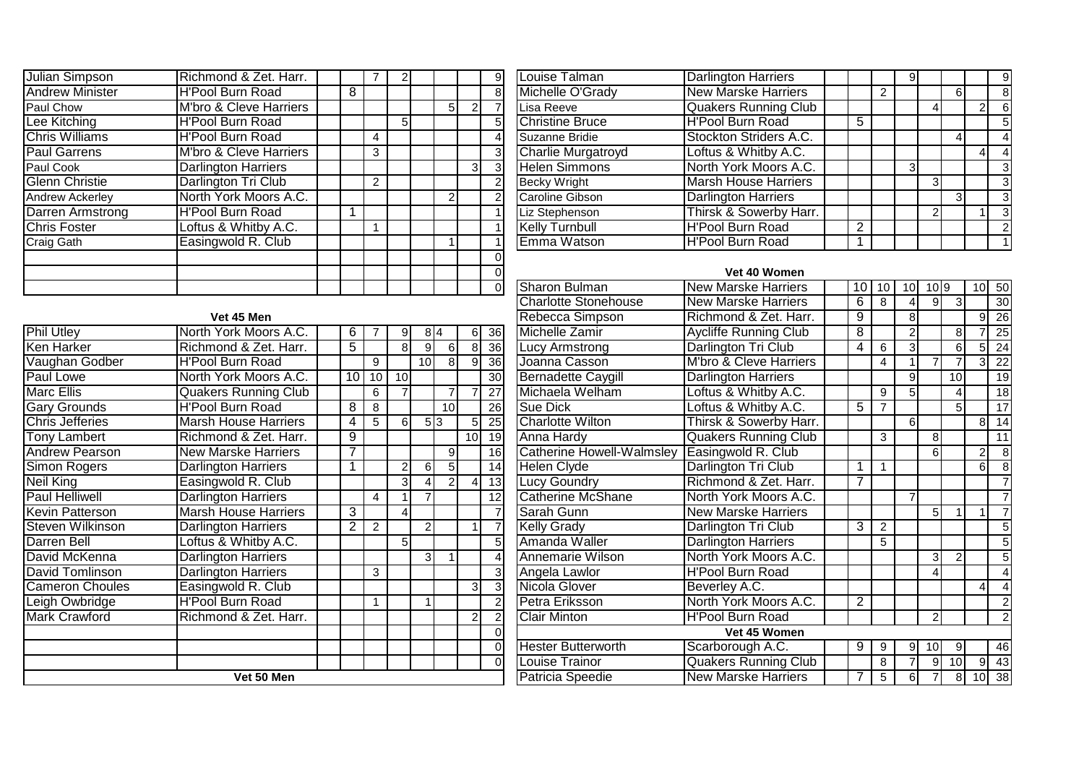| Julian Simpson         | Richmond & Zet. Harr.      |   |                |   |   |   | $\overline{9}$ |
|------------------------|----------------------------|---|----------------|---|---|---|----------------|
| <b>Andrew Minister</b> | <b>H'Pool Burn Road</b>    | 8 |                |   |   |   | 8 <sup>1</sup> |
| Paul Chow              | M'bro & Cleve Harriers     |   |                |   | 5 | 2 | $\overline{7}$ |
| Lee Kitching           | <b>H'Pool Burn Road</b>    |   |                | 5 |   |   | 5 <sup>1</sup> |
| <b>Chris Williams</b>  | <b>H'Pool Burn Road</b>    |   | 4              |   |   |   | 4              |
| <b>Paul Garrens</b>    | M'bro & Cleve Harriers     |   | 3              |   |   |   | $\overline{3}$ |
| Paul Cook              | <b>Darlington Harriers</b> |   |                |   |   | 3 | $\overline{3}$ |
| <b>Glenn Christie</b>  | Darlington Tri Club        |   | $\mathfrak{p}$ |   |   |   | $\overline{2}$ |
| Andrew Ackerley        | North York Moors A.C.      |   |                |   | 2 |   | $\overline{2}$ |
| Darren Armstrong       | <b>H'Pool Burn Road</b>    |   |                |   |   |   |                |
| <b>Chris Foster</b>    | Loftus & Whitby A.C.       |   |                |   |   |   |                |
| Craig Gath             | Easingwold R. Club         |   |                |   |   |   |                |
|                        |                            |   |                |   |   |   | $\Omega$       |
|                        |                            |   |                |   |   |   | $\overline{0}$ |
|                        |                            |   |                |   |   |   | $\Omega$       |

Phil Utley

| $\frac{9}{7}$  | Louise Talman             | <b>Darlington Harriers</b>  |   |   | 9 |               |   |                | 9             |
|----------------|---------------------------|-----------------------------|---|---|---|---------------|---|----------------|---------------|
|                | Michelle O'Grady          | <b>New Marske Harriers</b>  |   | 2 |   |               | 6 |                | 8             |
|                | Lisa Reeve                | <b>Quakers Running Club</b> |   |   |   | 4             |   | $\overline{2}$ | 6             |
|                | <b>Christine Bruce</b>    | <b>H'Pool Burn Road</b>     | 5 |   |   |               |   |                | 5             |
|                | Suzanne Bridie            | Stockton Striders A.C.      |   |   |   |               |   |                |               |
|                | <b>Charlie Murgatroyd</b> | Loftus & Whitby A.C.        |   |   |   |               |   |                |               |
|                | <b>Helen Simmons</b>      | North York Moors A.C.       |   |   | 3 |               |   |                | 3             |
|                | <b>Becky Wright</b>       | <b>Marsh House Harriers</b> |   |   |   | 3             |   |                |               |
|                | <b>Caroline Gibson</b>    | <b>Darlington Harriers</b>  |   |   |   |               |   |                | 3             |
|                | Liz Stephenson            | Thirsk & Sowerby Harr.      |   |   |   | $\mathcal{P}$ |   |                | 3             |
| $\overline{1}$ | <b>Kelly Turnbull</b>     | <b>H'Pool Burn Road</b>     | 2 |   |   |               |   |                | $\mathcal{P}$ |
| 1              | Emma Watson               | <b>H'Pool Burn Road</b>     |   |   |   |               |   |                |               |

## **Vet 40 Women**

|                             |                                                                                                                                            |                |                |                |                                              |                 |                                                                                                 |                 | <b>Charlotte Stonehouse</b><br><b>New Marske Harriers</b> |
|-----------------------------|--------------------------------------------------------------------------------------------------------------------------------------------|----------------|----------------|----------------|----------------------------------------------|-----------------|-------------------------------------------------------------------------------------------------|-----------------|-----------------------------------------------------------|
| Vet 45 Men                  |                                                                                                                                            |                |                |                |                                              |                 |                                                                                                 |                 | Richmond & Zet. Harr.<br>Rebecca Simpson                  |
| North York Moors A.C.       |                                                                                                                                            | 6              |                | 9              |                                              |                 |                                                                                                 | 36              | Michelle Zamir<br><b>Aycliffe Running Club</b>            |
| Richmond & Zet. Harr.       |                                                                                                                                            | 5              |                | 8              |                                              | 6 <sup>1</sup>  | 8 <sup>1</sup>                                                                                  | 36              | Darlington Tri Club<br><b>Lucy Armstrong</b>              |
| <b>H'Pool Burn Road</b>     |                                                                                                                                            |                | 9              |                |                                              | 8 <sup>1</sup>  | 9                                                                                               | 36              | Joanna Casson<br><b>M'bro &amp; Cleve Harriers</b>        |
| North York Moors A.C.       |                                                                                                                                            | 10             | 10             | 10             |                                              |                 |                                                                                                 | 30 <sup>°</sup> | <b>Bernadette Caygill</b><br>Darlington Harriers          |
| <b>Quakers Running Club</b> |                                                                                                                                            |                | 6              | $\overline{7}$ |                                              | $\overline{7}$  |                                                                                                 | 27              | Loftus & Whitby A.C.<br>Michaela Welham                   |
| <b>H'Pool Burn Road</b>     |                                                                                                                                            | 8              | 8              |                |                                              | 10 <sup>1</sup> |                                                                                                 | 26              | Loftus & Whitby A.C.<br><b>Sue Dick</b>                   |
| <b>Marsh House Harriers</b> |                                                                                                                                            | 4              | 5              | 6              |                                              |                 | 5 <sub>l</sub>                                                                                  | 25              | <b>Charlotte Wilton</b><br>Thirsk & Sowerby Harr.         |
| Richmond & Zet. Harr.       |                                                                                                                                            | 9              |                |                |                                              |                 |                                                                                                 | 19              | <b>Quakers Running Club</b><br>Anna Hardy                 |
| <b>New Marske Harriers</b>  |                                                                                                                                            | 7              |                |                |                                              | $\overline{9}$  |                                                                                                 | 16              | <b>Catherine Howell-Walmsley</b><br>Easingwold R. Club    |
| <b>Darlington Harriers</b>  |                                                                                                                                            |                |                | 2              |                                              |                 |                                                                                                 | 14              | <b>Helen Clyde</b><br>Darlington Tri Club                 |
| Easingwold R. Club          |                                                                                                                                            |                |                | 13             | <b>Lucy Goundry</b><br>Richmond & Zet. Harr. |                 |                                                                                                 |                 |                                                           |
| <b>Darlington Harriers</b>  |                                                                                                                                            |                | 4              |                |                                              |                 |                                                                                                 | 12              | North York Moors A.C.<br><b>Catherine McShane</b>         |
|                             |                                                                                                                                            | $\overline{3}$ |                | $\overline{4}$ |                                              |                 |                                                                                                 | $\overline{7}$  | Sarah Gunn<br><b>New Marske Harriers</b>                  |
|                             |                                                                                                                                            | 2              | $\overline{2}$ |                |                                              |                 |                                                                                                 | $\overline{7}$  | <b>Kelly Grady</b><br>Darlington Tri Club                 |
|                             |                                                                                                                                            |                |                | 5              |                                              |                 |                                                                                                 | 5               | Amanda Waller<br><b>Darlington Harriers</b>               |
|                             |                                                                                                                                            |                |                |                |                                              |                 |                                                                                                 | $\overline{4}$  | North York Moors A.C.<br><b>Annemarie Wilson</b>          |
| <b>Darlington Harriers</b>  |                                                                                                                                            |                | 3              |                |                                              |                 |                                                                                                 | 3               | <b>H'Pool Burn Road</b><br>Angela Lawlor                  |
| Easingwold R. Club          |                                                                                                                                            |                |                |                |                                              |                 | 3                                                                                               | $\overline{3}$  | Nicola Glover<br>Beverley A.C.                            |
|                             |                                                                                                                                            |                |                |                |                                              |                 |                                                                                                 | $\overline{2}$  | North York Moors A.C.<br>Petra Eriksson                   |
| Richmond & Zet. Harr.       |                                                                                                                                            |                |                |                |                                              |                 | $\overline{2}$                                                                                  | $\overline{2}$  | <b>Clair Minton</b><br><b>H'Pool Burn Road</b>            |
|                             |                                                                                                                                            |                |                |                |                                              |                 |                                                                                                 | $\overline{0}$  | Vet 45 Women                                              |
|                             |                                                                                                                                            |                |                |                |                                              |                 |                                                                                                 | $\overline{0}$  | <b>Hester Butterworth</b><br>Scarborough A.C.             |
|                             |                                                                                                                                            |                |                |                |                                              |                 |                                                                                                 | $\Omega$        | <b>Quakers Running Club</b><br><b>Louise Trainor</b>      |
| Vet 50 Men                  |                                                                                                                                            |                |                |                |                                              |                 |                                                                                                 |                 | <b>New Marske Harriers</b><br>Patricia Speedie            |
|                             | <b>Marsh House Harriers</b><br><b>Darlington Harriers</b><br>Loftus & Whitby A.C.<br><b>Darlington Harriers</b><br><b>H'Pool Burn Road</b> |                |                |                | 3                                            |                 | 8 4<br>9 <sup>1</sup><br>10 <sup>1</sup><br>5 3<br>61<br>$\overline{2}$<br>$\overline{2}$<br>3I | $\overline{5}$  | 6<br>10 <sup>1</sup><br>4 <sup>1</sup>                    |

| $\frac{1}{2}$                              |                                  | Vet 40 Women                 |                |                |                 |                  |                |                 |                 |
|--------------------------------------------|----------------------------------|------------------------------|----------------|----------------|-----------------|------------------|----------------|-----------------|-----------------|
|                                            | <b>Sharon Bulman</b>             | <b>New Marske Harriers</b>   | 10             | 10             | 10 <sup>1</sup> | $10\overline{9}$ |                | 10 <sup>1</sup> | 50              |
|                                            | <b>Charlotte Stonehouse</b>      | <b>New Marske Harriers</b>   | 6              | 8              | 4               | 9                | 3              |                 | 30              |
|                                            | Rebecca Simpson                  | Richmond & Zet. Harr.        | $\overline{9}$ |                | 8               |                  |                | $\overline{9}$  | 26              |
|                                            | Michelle Zamir                   | <b>Aycliffe Running Club</b> | $\overline{8}$ |                | $\overline{2}$  |                  | 8              | $\overline{7}$  | 25              |
|                                            | Lucy Armstrong                   | Darlington Tri Club          | 4              | 6              | $\overline{3}$  |                  | 6              | $\overline{5}$  | 24              |
|                                            | Joanna Casson                    | M'bro & Cleve Harriers       |                | $\overline{4}$ | 1               | $\overline{7}$   | $\overline{7}$ | $\overline{3}$  | $\overline{22}$ |
|                                            | <b>Bernadette Caygill</b>        | <b>Darlington Harriers</b>   |                |                | $\overline{9}$  |                  | 10             |                 | 19              |
|                                            | Michaela Welham                  | Loftus & Whitby A.C.         |                | 9              | $\overline{5}$  |                  | 4              |                 | 18              |
|                                            | Sue Dick                         | Loftus & Whitby A.C.         | 5              | $\overline{7}$ |                 |                  | 5              |                 | $\overline{17}$ |
|                                            | <b>Charlotte Wilton</b>          | Thirsk & Sowerby Harr.       |                |                | $\overline{6}$  |                  |                | $\overline{8}$  | $\overline{14}$ |
|                                            | <b>Anna Hardy</b>                | <b>Quakers Running Club</b>  |                | 3              |                 | 8                |                |                 | 11              |
|                                            | <b>Catherine Howell-Walmsley</b> | Easingwold R. Club           |                |                |                 | 6                |                | $\overline{c}$  | $\overline{8}$  |
|                                            | <b>Helen Clyde</b>               | Darlington Tri Club          | 1              | 1              |                 |                  |                | 6 <sup>1</sup>  | $\overline{8}$  |
|                                            | <b>Lucy Goundry</b>              | Richmond & Zet. Harr.        | $\overline{7}$ |                |                 |                  |                |                 | $\overline{7}$  |
|                                            | <b>Catherine McShane</b>         | North York Moors A.C.        |                |                | $\overline{7}$  |                  |                |                 | $\overline{7}$  |
|                                            | Sarah Gunn                       | <b>New Marske Harriers</b>   |                |                |                 | 5                | 1              | 1               | $\overline{7}$  |
|                                            | Kelly Grady                      | Darlington Tri Club          | 3              | $\overline{2}$ |                 |                  |                |                 | $\overline{5}$  |
|                                            | Amanda Waller                    | <b>Darlington Harriers</b>   |                | 5              |                 |                  |                |                 | $\overline{5}$  |
|                                            | <b>Annemarie Wilson</b>          | North York Moors A.C.        |                |                |                 | 3                | $\overline{2}$ |                 | $\overline{5}$  |
|                                            | Angela Lawlor                    | <b>H'Pool Burn Road</b>      |                |                |                 | 4                |                |                 | $\overline{4}$  |
|                                            | Nicola Glover                    | Beverley A.C.                |                |                |                 |                  |                | 4               | $\overline{4}$  |
|                                            | Petra Eriksson                   | North York Moors A.C.        | $\overline{2}$ |                |                 |                  |                |                 | $\overline{2}$  |
|                                            | <b>Clair Minton</b>              | <b>H'Pool Burn Road</b>      |                |                |                 | $\overline{2}$   |                |                 | $\overline{2}$  |
| ㅇㅇㅇㅇ ㅇ ㅆ ㅆ ㅆ ㅗ ㅆ ㅅ ㅆ ㅆ ㅗ ∞ ശ ળ æ ~ ㅇ æ æ æ |                                  | Vet 45 Women                 |                |                |                 |                  |                |                 |                 |
|                                            | <b>Hester Butterworth</b>        | Scarborough A.C.             | 9              | 9              | 9               | 10               | 9              |                 | 46              |
|                                            | Louise Trainor                   | <b>Quakers Running Club</b>  |                | 8              | $\overline{7}$  | 9                | 10             | 9               | 43              |
|                                            | Patricia Speedie                 | <b>New Marske Harriers</b>   | $\overline{7}$ | $\overline{5}$ | $6 \overline{}$ | $\overline{7}$   | 8              | 10              | 38              |
|                                            |                                  |                              |                |                |                 |                  |                |                 |                 |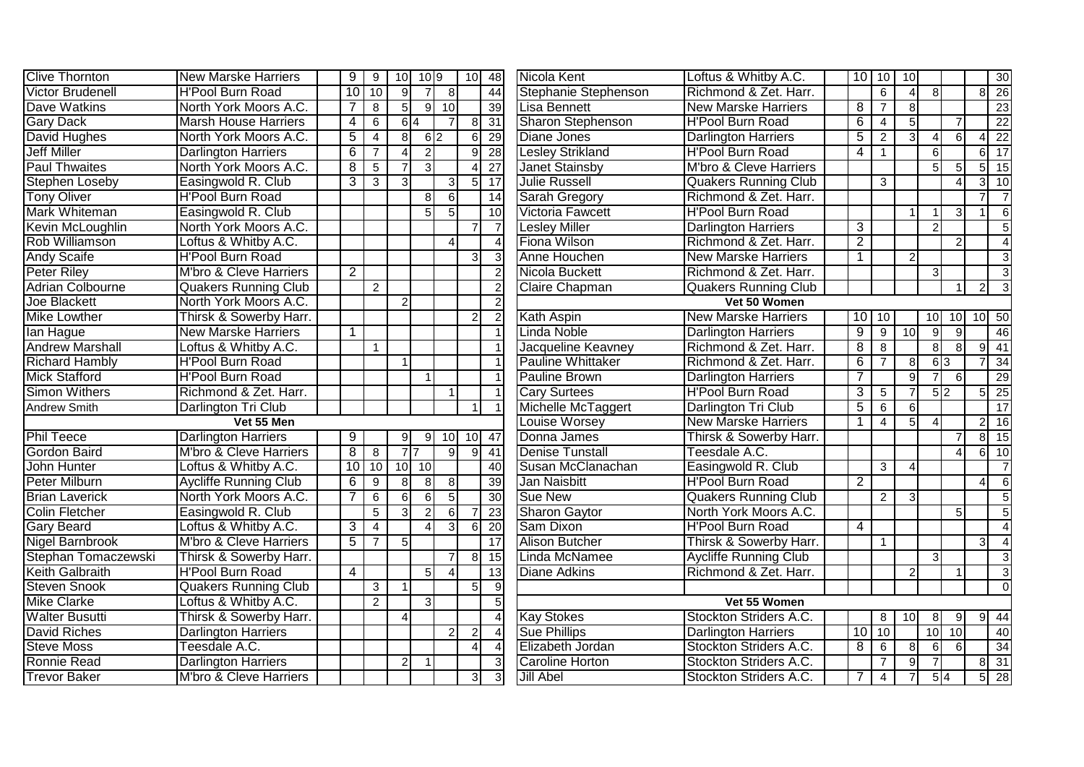| <b>Clive Thornton</b>   | <b>New Marske Harriers</b>        | $\overline{9}$ | 9              | 10 <sup>1</sup>  | 10 9            |                | 10             | $\overline{48}$   | Nicola Kent              | Loftus & Whitby A.C.         |                | 10 10          | 10              |                             |                |                | 30                         |
|-------------------------|-----------------------------------|----------------|----------------|------------------|-----------------|----------------|----------------|-------------------|--------------------------|------------------------------|----------------|----------------|-----------------|-----------------------------|----------------|----------------|----------------------------|
| <b>Victor Brudenell</b> | <b>H'Pool Burn Road</b>           | 10             | 10             | $\overline{9}$   | $\overline{7}$  | 8 <sup>1</sup> |                | 44                | Stephanie Stephenson     | Richmond & Zet. Harr.        |                | $\overline{6}$ | $\overline{4}$  | 8 <sup>1</sup>              |                |                | $8 \overline{\smash{)}26}$ |
| Dave Watkins            | North York Moors A.C.             | $\overline{7}$ | $\overline{8}$ | $5\overline{)}$  |                 | $9 \mid 10$    |                | 39                | Lisa Bennett             | <b>New Marske Harriers</b>   | $\overline{8}$ | $\overline{7}$ | 8               |                             |                |                | $\overline{23}$            |
| <b>Gary Dack</b>        | <b>Marsh House Harriers</b>       | $\overline{4}$ | $\overline{6}$ |                  | 6I <sub>4</sub> |                | 8              | 31                | <b>Sharon Stephenson</b> | <b>H'Pool Burn Road</b>      | $\overline{6}$ | $\overline{4}$ | 5               |                             |                |                | 22                         |
| David Hughes            | North York Moors A.C.             | $\overline{5}$ | $\overline{4}$ | $\overline{8}$   | $6\overline{2}$ |                | 6              | 29                | <b>Diane Jones</b>       | <b>Darlington Harriers</b>   | $\overline{5}$ | 2              | 3               | 4                           | 6              |                | $\overline{22}$            |
| <b>Jeff Miller</b>      | <b>Darlington Harriers</b>        | $\overline{6}$ | $\overline{7}$ | $\overline{4}$   | $\overline{2}$  |                | 9              | 28                | <b>Lesley Strikland</b>  | <b>H'Pool Burn Road</b>      | 4              | $\mathbf{1}$   |                 | 6                           |                | 6 <sup>1</sup> | $\overline{17}$            |
| <b>Paul Thwaites</b>    | North York Moors A.C.             | $\overline{8}$ | $\overline{5}$ | $\overline{7}$   | 3               |                | $\overline{4}$ | $\overline{27}$   | <b>Janet Stainsby</b>    | M'bro & Cleve Harriers       |                |                |                 | 5 <sup>1</sup>              | 5              |                | 15                         |
| <b>Stephen Loseby</b>   | Easingwold R. Club                | 3              | $\mathbf{3}$   | $\overline{3}$   |                 | $\overline{3}$ | 5              | $\overline{17}$   | <b>Julie Russell</b>     | <b>Quakers Running Club</b>  |                | 3              |                 |                             | $\lambda$      |                | $\overline{10}$            |
| <b>Tony Oliver</b>      | <b>H'Pool Burn Road</b>           |                |                |                  | 8 <sup>1</sup>  | $\overline{6}$ |                | $\overline{14}$   | <b>Sarah Gregory</b>     | Richmond & Zet. Harr.        |                |                |                 |                             |                |                | $\overline{7}$             |
| Mark Whiteman           | Easingwold R. Club                |                |                |                  | 5 <sup>1</sup>  | 5 <sup>1</sup> |                | 10                | Victoria Fawcett         | <b>H'Pool Burn Road</b>      |                |                |                 |                             | 3              |                | 6                          |
| Kevin McLoughlin        | North York Moors A.C.             |                |                |                  |                 |                |                | $\overline{7}$    | Lesley Miller            | <b>Darlington Harriers</b>   | 3              |                |                 | $\mathcal{P}$               |                |                | 5                          |
| Rob Williamson          | Loftus & Whitby A.C.              |                |                |                  |                 |                |                | $\overline{4}$    | Fiona Wilson             | Richmond & Zet. Harr.        | $\overline{2}$ |                |                 |                             | 2              |                |                            |
| <b>Andy Scaife</b>      | <b>H'Pool Burn Road</b>           |                |                |                  |                 |                | 3              | 3                 | Anne Houchen             | <b>New Marske Harriers</b>   | $\overline{1}$ |                | $\overline{2}$  |                             |                |                | 3                          |
| <b>Peter Riley</b>      | M'bro & Cleve Harriers            | $\overline{2}$ |                |                  |                 |                |                | $\vert$ 2         | Nicola Buckett           | Richmond & Zet. Harr.        |                |                |                 | $\mathbf{3}$                |                |                | 3                          |
| <b>Adrian Colbourne</b> | <b>Quakers Running Club</b>       |                | $\overline{2}$ |                  |                 |                |                | $\vert$ 2         | Claire Chapman           | <b>Quakers Running Club</b>  |                |                |                 |                             | 1              | $\overline{2}$ | კ                          |
| Joe Blackett            | North York Moors A.C.             |                |                | $\mathbf{2}$     |                 |                |                | $\vert$ 2         |                          | Vet 50 Women                 |                |                |                 |                             |                |                |                            |
| <b>Mike Lowther</b>     | Thirsk & Sowerby Harr.            |                |                |                  |                 |                | $\overline{2}$ | $\vert$ 2         | Kath Aspin               | <b>New Marske Harriers</b>   | 10             | 10             |                 | 10                          | 10             | $10$ 50        |                            |
| lan Hague               | <b>New Marske Harriers</b>        | $\mathbf 1$    |                |                  |                 |                |                |                   | Linda Noble              | <b>Darlington Harriers</b>   | $\overline{9}$ | $\overline{9}$ | 10              | $\overline{9}$              | $\overline{9}$ |                | 46                         |
| <b>Andrew Marshall</b>  | Loftus & Whitby A.C.              |                | $\mathbf{1}$   |                  |                 |                |                |                   | Jacqueline Keavney       | Richmond & Zet. Harr.        | $\overline{8}$ | $\overline{8}$ |                 | $\overline{8}$              | $\overline{8}$ | $\overline{9}$ | 41                         |
| <b>Richard Hambly</b>   | <b>H'Pool Burn Road</b>           |                |                | $\overline{1}$   |                 |                |                | $\overline{1}$    | <b>Pauline Whittaker</b> | Richmond & Zet. Harr.        | 6              | $\overline{7}$ | 8               | $\overline{6}$ <sub>3</sub> |                |                | 34                         |
| <b>Mick Stafford</b>    | <b>H'Pool Burn Road</b>           |                |                |                  | $\mathbf{1}$    |                |                |                   | <b>Pauline Brown</b>     | <b>Darlington Harriers</b>   | 7              |                | 9               |                             | 6              |                | 29                         |
| <b>Simon Withers</b>    | Richmond & Zet. Harr.             |                |                |                  |                 |                |                |                   | <b>Cary Surtees</b>      | <b>H'Pool Burn Road</b>      | 3              | $\sqrt{5}$     |                 | 5 2                         |                | 5 <sup>1</sup> | $\overline{25}$            |
| Andrew Smith            | Darlington Tri Club               |                |                |                  |                 |                |                |                   | Michelle McTaggert       | Darlington Tri Club          | $\overline{5}$ | 6              | $6\phantom{1}6$ |                             |                |                | $\overline{17}$            |
|                         | Vet 55 Men                        |                |                |                  |                 |                |                |                   | <b>Louise Worsey</b>     | <b>New Marske Harriers</b>   |                | $\overline{4}$ | 5               |                             |                |                | 16                         |
| <b>Phil Teece</b>       | <b>Darlington Harriers</b>        | $\overline{9}$ |                | 9                |                 | $9$ 10         | 10             | 47                | Donna James              | Thirsk & Sowerby Harr.       |                |                |                 |                             | $\overline{7}$ | 8I             | $\overline{15}$            |
| <b>Gordon Baird</b>     | M'bro & Cleve Harriers            | $\overline{8}$ | $\overline{8}$ | $7\overline{7}$  |                 | $\mathfrak{g}$ | $\mathfrak{g}$ | 41                | <b>Denise Tunstall</b>   | Teesdale A.C.                |                |                |                 |                             | $\Delta$       | 6 <sup>1</sup> | 10                         |
| John Hunter             | Loftus & Whitby A.C.              | 10             | 10             |                  | $10$ 10         |                |                | 40                | Susan McClanachan        | Easingwold R. Club           |                | 3              | $\overline{4}$  |                             |                |                |                            |
| Peter Milburn           | <b>Aycliffe Running Club</b>      | 6              | $\overline{9}$ | 8 <sup>1</sup>   | 8               | 8 <sup>1</sup> |                | 39                | Jan Naisbitt             | <b>H'Pool Burn Road</b>      | $\overline{2}$ |                |                 |                             |                |                | 6                          |
| <b>Brian Laverick</b>   | North York Moors A.C.             |                | 6              | $6 \overline{6}$ | 6               | 5 <sub>l</sub> |                | 30                | <b>Sue New</b>           | <b>Quakers Running Club</b>  |                | 2              |                 |                             |                |                | 5                          |
| <b>Colin Fletcher</b>   | Easingwold R. Club                |                | $\overline{5}$ | $\overline{3}$   | $\overline{2}$  | 6 <sup>1</sup> |                | 23                | <b>Sharon Gaytor</b>     | North York Moors A.C.        |                |                |                 |                             | 5              |                | 5                          |
| <b>Gary Beard</b>       | Loftus & Whitby A.C.              | 3              | $\overline{4}$ |                  | $\vert$         | $\overline{3}$ | 6              | $\overline{20}$   | Sam Dixon                | <b>H'Pool Burn Road</b>      | $\overline{4}$ |                |                 |                             |                |                | $\overline{A}$             |
| <b>Nigel Barnbrook</b>  | <b>M'bro &amp; Cleve Harriers</b> | 5              | $\overline{7}$ | $\overline{5}$   |                 |                |                | 17                | <b>Alison Butcher</b>    | Thirsk & Sowerby Harr.       |                | $\mathbf{1}$   |                 |                             |                | 3              | $\overline{4}$             |
| Stephan Tomaczewski     | Thirsk & Sowerby Harr.            |                |                |                  |                 |                | 8              | $\overline{15}$   | Linda McNamee            | <b>Aycliffe Running Club</b> |                |                |                 | $\mathcal{E}$               |                |                | 3                          |
| <b>Keith Galbraith</b>  | <b>H'Pool Burn Road</b>           | 4              |                |                  | 5 <sub>l</sub>  | $\overline{4}$ |                | $\overline{13}$   | <b>Diane Adkins</b>      | Richmond & Zet. Harr.        |                |                | $\overline{2}$  |                             |                |                | 3                          |
| <b>Steven Snook</b>     | <b>Quakers Running Club</b>       |                | 3              | $\mathbf{1}$     |                 |                | 5              | 9                 |                          |                              |                |                |                 |                             |                |                | $\Omega$                   |
| <b>Mike Clarke</b>      | Loftus & Whitby A.C.              |                | $\overline{2}$ |                  | $\overline{3}$  |                |                | 5 <sup>5</sup>    |                          | Vet 55 Women                 |                |                |                 |                             |                |                |                            |
| <b>Walter Busutti</b>   | Thirsk & Sowerby Harr.            |                |                | $\overline{4}$   |                 |                |                | $\overline{4}$    | <b>Kay Stokes</b>        | Stockton Striders A.C.       |                | 8              | 10              | 8                           | 9              | $\mathbf{Q}$   | $\overline{44}$            |
| <b>David Riches</b>     | <b>Darlington Harriers</b>        |                |                |                  |                 | $\overline{2}$ | $\overline{2}$ | $\vert$           | <b>Sue Phillips</b>      | <b>Darlington Harriers</b>   | 10             | 10             |                 | 10                          | 10             |                | 40                         |
| <b>Steve Moss</b>       | Teesdale A.C.                     |                |                |                  |                 |                | $\overline{4}$ | $\vert$           | Elizabeth Jordan         | Stockton Striders A.C.       | $\overline{8}$ | 6              | 8               | $6 \mid$                    | 6              |                | $\overline{34}$            |
| Ronnie Read             | <b>Darlington Harriers</b>        |                |                | $\overline{2}$   |                 |                |                | $\lvert 3 \rvert$ | Caroline Horton          | Stockton Striders A.C.       |                | $\overline{7}$ | 9               |                             |                | 8              | $\overline{31}$            |
| <b>Trevor Baker</b>     | M'bro & Cleve Harriers            |                |                |                  |                 |                | 3              | 3                 | <b>Jill Abel</b>         | Stockton Striders A.C.       | $\overline{7}$ | $\overline{4}$ | 7               | 5 4                         |                | 51             | 28                         |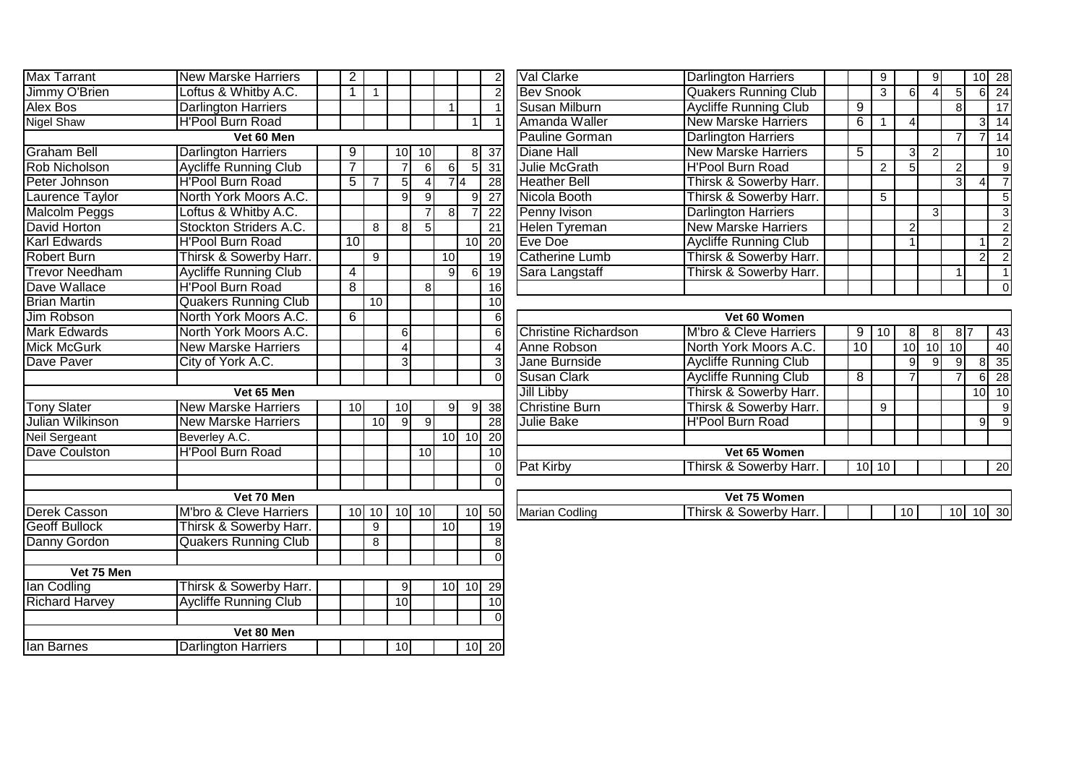| <b>Max Tarrant</b>    | <b>New Marske Harriers</b>   | $\overline{2}$ |                |                         |                |                 |                 | $\mathbf{2}$    | Val Clarke                  | <b>Darlington Harriers</b>   |
|-----------------------|------------------------------|----------------|----------------|-------------------------|----------------|-----------------|-----------------|-----------------|-----------------------------|------------------------------|
| Jimmy O'Brien         | Loftus & Whitby A.C.         | $\mathbf 1$    | $\mathbf{1}$   |                         |                |                 |                 | $\overline{2}$  | <b>Bev Snook</b>            | <b>Quakers Running Clu</b>   |
| Alex Bos              | <b>Darlington Harriers</b>   |                |                |                         |                | $\mathbf{1}$    |                 | $\mathbf{1}$    | Susan Milburn               | <b>Aycliffe Running Club</b> |
| <b>Nigel Shaw</b>     | <b>H'Pool Burn Road</b>      |                |                |                         |                |                 | $\mathbf{1}$    | $\mathbf{1}$    | Amanda Waller               | <b>New Marske Harriers</b>   |
|                       | Vet 60 Men                   |                |                |                         |                |                 |                 |                 | <b>Pauline Gorman</b>       | <b>Darlington Harriers</b>   |
| <b>Graham Bell</b>    | <b>Darlington Harriers</b>   | 9              |                | 10                      | 10             |                 | 8               | 37              | <b>Diane Hall</b>           | <b>New Marske Harriers</b>   |
| <b>Rob Nicholson</b>  | <b>Aycliffe Running Club</b> | 7              |                | $\overline{7}$          | $\overline{6}$ | 6               | 5               | 31              | <b>Julie McGrath</b>        | <b>H'Pool Burn Road</b>      |
| Peter Johnson         | <b>H'Pool Burn Road</b>      | $\overline{5}$ | $\overline{7}$ | 5                       | $\overline{4}$ |                 | $\overline{4}$  | 28              | <b>Heather Bell</b>         | Thirsk & Sowerby Ha          |
| Laurence Taylor       | North York Moors A.C.        |                |                | $\overline{9}$          | G)             |                 | 9               | $\overline{27}$ | Nicola Booth                | Thirsk & Sowerby Ha          |
| <b>Malcolm Peggs</b>  | Loftus & Whitby A.C.         |                |                |                         | $\overline{7}$ | 8               |                 | $\overline{22}$ | Penny Ivison                | <b>Darlington Harriers</b>   |
| David Horton          | Stockton Striders A.C.       |                | 8              | $\overline{\mathbf{8}}$ | 5              |                 |                 | $\overline{21}$ | <b>Helen Tyreman</b>        | <b>New Marske Harriers</b>   |
| <b>Karl Edwards</b>   | <b>H'Pool Burn Road</b>      | 10             |                |                         |                |                 | $\overline{10}$ | $\overline{20}$ | Eve Doe                     | <b>Aycliffe Running Club</b> |
| <b>Robert Burn</b>    | Thirsk & Sowerby Harr.       |                | 9              |                         |                | 10              |                 | $\overline{19}$ | <b>Catherine Lumb</b>       | Thirsk & Sowerby Ha          |
| <b>Trevor Needham</b> | <b>Aycliffe Running Club</b> | 4              |                |                         |                | 9               | 6               | 19              | Sara Langstaff              | Thirsk & Sowerby Ha          |
| Dave Wallace          | <b>H'Pool Burn Road</b>      | 8              |                |                         | 8              |                 |                 | 16              |                             |                              |
| <b>Brian Martin</b>   | <b>Quakers Running Club</b>  |                | 10             |                         |                |                 |                 | 10              |                             |                              |
| Jim Robson            | North York Moors A.C.        | 6              |                |                         |                |                 |                 | $6 \overline{}$ |                             | Vet 60 Women                 |
| <b>Mark Edwards</b>   | North York Moors A.C.        |                |                | $6 \mid$                |                |                 |                 | $\overline{6}$  | <b>Christine Richardson</b> | M'bro & Cleve Harrier        |
| <b>Mick McGurk</b>    | <b>New Marske Harriers</b>   |                |                | $\vert$                 |                |                 |                 | $\overline{4}$  | Anne Robson                 | North York Moors A.          |
| Dave Paver            | City of York A.C.            |                |                | 3 <sup>1</sup>          |                |                 |                 | $\overline{3}$  | Jane Burnside               | <b>Aycliffe Running Club</b> |
|                       |                              |                |                |                         |                |                 |                 | $\overline{0}$  | <b>Susan Clark</b>          | <b>Aycliffe Running Club</b> |
|                       | Vet 65 Men                   |                |                |                         |                |                 |                 |                 | <b>Jill Libby</b>           | Thirsk & Sowerby Ha          |
| <b>Tony Slater</b>    | <b>New Marske Harriers</b>   | 10             |                | 10                      |                | 9               | 9               | 38              | <b>Christine Burn</b>       | Thirsk & Sowerby Ha          |
| Julian Wilkinson      | <b>New Marske Harriers</b>   |                | 10             | 9                       | 9              |                 |                 | $\overline{28}$ | <b>Julie Bake</b>           | <b>H'Pool Burn Road</b>      |
| <b>Neil Sergeant</b>  | Beverley A.C.                |                |                |                         |                | 10              | 10              | $\overline{20}$ |                             |                              |
| Dave Coulston         | <b>H'Pool Burn Road</b>      |                |                |                         | 10             |                 |                 | 10              |                             | Vet 65 Women                 |
|                       |                              |                |                |                         |                |                 |                 | $\overline{0}$  | <b>Pat Kirby</b>            | Thirsk & Sowerby Ha          |
|                       |                              |                |                |                         |                |                 |                 | $\Omega$        |                             |                              |
|                       | Vet 70 Men                   |                |                |                         |                |                 |                 |                 |                             | Vet 75 Women                 |
| <b>Derek Casson</b>   | M'bro & Cleve Harriers       |                | $10$ 10        | 10                      | 10             |                 | 10              | 50              | <b>Marian Codling</b>       | Thirsk & Sowerby Ha          |
| <b>Geoff Bullock</b>  | Thirsk & Sowerby Harr.       |                | 9              |                         |                | 10              |                 | 19              |                             |                              |
| Danny Gordon          | <b>Quakers Running Club</b>  |                | 8              |                         |                |                 |                 | 8               |                             |                              |
|                       |                              |                |                |                         |                |                 |                 | $\Omega$        |                             |                              |
| Vet 75 Men            |                              |                |                |                         |                |                 |                 |                 |                             |                              |
| lan Codling           | Thirsk & Sowerby Harr.       |                |                | $\overline{9}$          |                | 10 <sub>l</sub> | 10              | 29              |                             |                              |
| <b>Richard Harvey</b> | <b>Aycliffe Running Club</b> |                |                | 10                      |                |                 |                 | 10              |                             |                              |
|                       |                              |                |                |                         |                |                 |                 | $\Omega$        |                             |                              |
|                       | Vet 80 Men                   |                |                |                         |                |                 |                 |                 |                             |                              |
| lan Barnes            | <b>Darlington Harriers</b>   |                |                | 10                      |                |                 |                 | 10 20           |                             |                              |

| Max Tarrant                                        | <b>New Marske Harriers</b>                      | $\overline{2}$  |                     |                 |                 |                 | $\overline{2}$                     | Val Clarke                  | <b>Darlington Harriers</b>        |                 | 9       |                 | 9               |                 |                | $10$ 28                    |
|----------------------------------------------------|-------------------------------------------------|-----------------|---------------------|-----------------|-----------------|-----------------|------------------------------------|-----------------------------|-----------------------------------|-----------------|---------|-----------------|-----------------|-----------------|----------------|----------------------------|
| Jimmy O'Brien                                      | Loftus & Whitby A.C.                            |                 | $\overline{1}$      |                 |                 |                 |                                    | <b>Bev Snook</b>            | <b>Quakers Running Club</b>       |                 | 3       | 6 <sup>1</sup>  | $\Delta$        | 5 <sub>l</sub>  |                | $6 \overline{\smash{)}24}$ |
| Alex Bos                                           | <b>Darlington Harriers</b>                      |                 |                     |                 |                 |                 |                                    | Susan Milburn               | <b>Aycliffe Running Club</b>      | 9               |         |                 |                 | 8               |                | 17                         |
| Nigel Shaw                                         | <b>H'Pool Burn Road</b>                         |                 |                     |                 |                 |                 |                                    | Amanda Waller               | <b>New Marske Harriers</b>        | $6 \mid$        |         |                 |                 |                 |                | $3 \mid 14$                |
|                                                    | Vet 60 Men                                      |                 |                     |                 |                 |                 |                                    | <b>Pauline Gorman</b>       | <b>Darlington Harriers</b>        |                 |         |                 |                 | $\overline{7}$  |                | $7$   14                   |
| Graham Bell                                        | <b>Darlington Harriers</b>                      | 9               |                     | 10 <sup>1</sup> | 10I             |                 | 37<br>81                           | <b>Diane Hall</b>           | <b>New Marske Harriers</b>        | 5               |         | 31              |                 |                 |                | 10                         |
| <b>Rob Nicholson</b>                               | <b>Aycliffe Running Club</b>                    | $\overline{7}$  |                     | $\overline{7}$  | 61              | $6 \mid$        | 31                                 | <b>Julie McGrath</b>        | <b>H'Pool Burn Road</b>           |                 | 2       | 5 <sub>l</sub>  |                 | $\overline{2}$  |                |                            |
| Peter Johnson                                      | <b>H'Pool Burn Road</b>                         | 5               |                     | 5               |                 | 7 4             | 28                                 | <b>Heather Bell</b>         | Thirsk & Sowerby Harr.            |                 |         |                 |                 |                 |                |                            |
| <b>Laurence Taylor</b>                             | North York Moors A.C.                           |                 |                     | 9               | $\mathfrak{g}$  |                 | $\overline{27}$                    | Nicola Booth                | Thirsk & Sowerby Harr.            |                 | 5       |                 |                 |                 |                | 5                          |
| Malcolm Peggs                                      | Loftus & Whitby A.C.                            |                 |                     |                 |                 | 8               | 22                                 | Penny Ivison                | <b>Darlington Harriers</b>        |                 |         |                 | 3               |                 |                |                            |
| David Horton                                       | Stockton Striders A.C.                          |                 | 8                   | 8 <sup>1</sup>  | 5 <sup>1</sup>  |                 | 21                                 | <b>Helen Tyreman</b>        | <b>New Marske Harriers</b>        |                 |         |                 |                 |                 |                | $\overline{2}$             |
| Karl Edwards                                       | <b>H'Pool Burn Road</b>                         | 10              |                     |                 |                 |                 | $\overline{20}$<br>10 <sup>1</sup> | Eve Doe                     | <b>Aycliffe Running Club</b>      |                 |         |                 |                 |                 |                |                            |
| <b>Robert Burn</b>                                 | Thirsk & Sowerby Harr.                          |                 | 9                   |                 |                 | 10 <sup>1</sup> | $\overline{19}$                    | <b>Catherine Lumb</b>       | Thirsk & Sowerby Harr.            |                 |         |                 |                 |                 | $\overline{2}$ |                            |
| <b>Trevor Needham</b>                              | <b>Aycliffe Running Club</b>                    | $\overline{4}$  |                     |                 |                 | $\overline{9}$  | 19<br>61                           | Sara Langstaff              | Thirsk & Sowerby Harr.            |                 |         |                 |                 |                 |                |                            |
| Dave Wallace                                       | H'Pool Burn Road                                | 8               |                     |                 | 81              |                 | 16                                 |                             |                                   |                 |         |                 |                 |                 |                | $\Omega$                   |
| <b>Brian Martin</b>                                | <b>Quakers Running Club</b>                     |                 | 10                  |                 |                 |                 | 10                                 |                             |                                   |                 |         |                 |                 |                 |                |                            |
| Jim Robson                                         | North York Moors A.C.                           | 6               |                     |                 |                 |                 |                                    |                             | Vet 60 Women                      |                 |         |                 |                 |                 |                |                            |
|                                                    |                                                 |                 |                     |                 |                 |                 |                                    |                             |                                   |                 |         |                 |                 |                 |                |                            |
| <b>Mark Edwards</b>                                | North York Moors A.C.                           |                 |                     | 6               |                 |                 | 6                                  | <b>Christine Richardson</b> | <b>M'bro &amp; Cleve Harriers</b> |                 | 9 10    | 8 <sup>1</sup>  | 8               | 87              |                | 43                         |
| <b>Mick McGurk</b>                                 | <b>New Marske Harriers</b>                      |                 |                     |                 |                 |                 |                                    | Anne Robson                 | North York Moors A.C.             | 10 <sup>1</sup> |         | 10 <sup>1</sup> | 10 <sup>1</sup> | 10 <sup>1</sup> |                | 40                         |
| Dave Paver                                         | City of York A.C.                               |                 |                     | 3 <sup>l</sup>  |                 |                 |                                    | Jane Burnside               | <b>Aycliffe Running Club</b>      |                 |         | $\mathfrak{g}$  | 9               | 9               |                | 8 35                       |
|                                                    |                                                 |                 |                     |                 |                 |                 | $\Omega$                           | Susan Clark                 | <b>Aycliffe Running Club</b>      | $\overline{8}$  |         |                 |                 |                 |                | 28                         |
|                                                    | Vet 65 Men                                      |                 |                     |                 |                 |                 |                                    | Jill Libby                  | Thirsk & Sowerby Harr.            |                 |         |                 |                 |                 |                | $10$ 10                    |
| <b>Tony Slater</b>                                 | <b>New Marske Harriers</b>                      | 10 <sup>1</sup> |                     | 10              |                 | 9               | $\overline{38}$<br>91              | <b>Christine Burn</b>       | Thirsk & Sowerby Harr.            |                 | 9       |                 |                 |                 |                |                            |
|                                                    | <b>New Marske Harriers</b>                      |                 | 10 <sup>1</sup>     | 9               | -91             |                 | $\overline{28}$                    | Julie Bake                  | <b>H'Pool Burn Road</b>           |                 |         |                 |                 |                 | 9              | 9                          |
|                                                    | Beverley A.C.                                   |                 |                     |                 |                 |                 | 10 10<br>20                        |                             |                                   |                 |         |                 |                 |                 |                |                            |
|                                                    | <b>H'Pool Burn Road</b>                         |                 |                     |                 | 10 <sup>1</sup> |                 | 10                                 |                             | Vet 65 Women                      |                 |         |                 |                 |                 |                |                            |
| Julian Wilkinson<br>Neil Sergeant<br>Dave Coulston |                                                 |                 |                     |                 |                 |                 | $\Omega$                           | <b>Pat Kirby</b>            | Thirsk & Sowerby Harr.            |                 | $10$ 10 |                 |                 |                 |                | $\overline{20}$            |
|                                                    |                                                 |                 |                     |                 |                 |                 |                                    |                             |                                   |                 |         |                 |                 |                 |                |                            |
|                                                    | Vet 70 Men                                      |                 |                     |                 |                 |                 |                                    |                             | Vet 75 Women                      |                 |         |                 |                 |                 |                |                            |
| Derek Casson<br>Geoff Bullock                      | M'bro & Cleve Harriers<br>Thirsk & Sowerby Harr |                 | $10$ 10<br>$\alpha$ | 10 <sub>l</sub> | 10 <sup>1</sup> |                 | 50<br>10                           | Marian Codling              | Thirsk & Sowerby Harr.            |                 |         | 10 <sup>1</sup> |                 | 10 <sup>1</sup> |                | $10$ 30                    |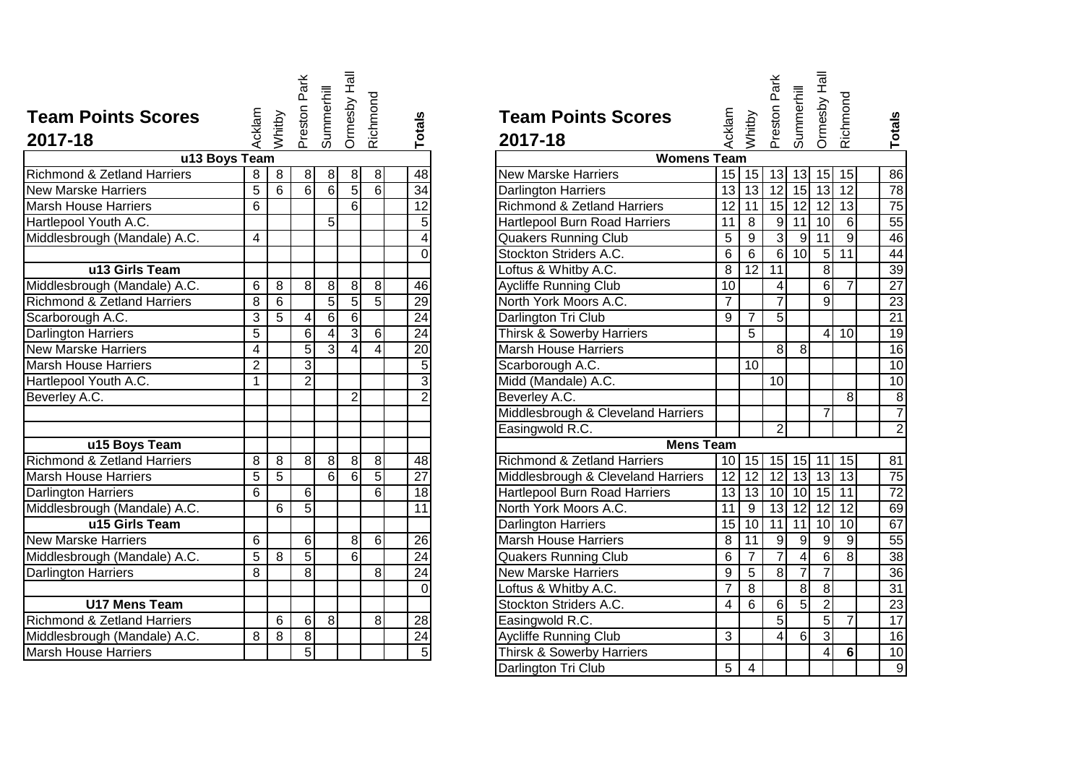|                                        |                         |                | Preston Park   |                 | Ormesby Hall    |                |                 |                                                           |
|----------------------------------------|-------------------------|----------------|----------------|-----------------|-----------------|----------------|-----------------|-----------------------------------------------------------|
| <b>Team Points Scores</b>              |                         |                |                | Summerhill      |                 | Richmond       |                 | <b>Team Points Scores</b>                                 |
| 2017-18                                | Acklam                  | Whitby         |                |                 |                 |                | <b>Totals</b>   | Acklam<br>2017-18                                         |
| u13 Boys Team                          |                         |                |                |                 |                 |                |                 | <b>Womens Team</b>                                        |
| Richmond & Zetland Harriers            | 8                       | 8              | 8 <sup>1</sup> | 8               | $\,8\,$         | $\bf 8$        | 48              | 15<br><b>New Marske Harriers</b>                          |
| <b>New Marske Harriers</b>             | $\overline{5}$          | $\overline{6}$ | $\overline{6}$ | $\overline{6}$  | $\overline{5}$  | $\overline{6}$ | $\overline{34}$ | 13<br>Darlington Harriers                                 |
| <b>Marsh House Harriers</b>            | $\overline{6}$          |                |                |                 | $\overline{6}$  |                | $\overline{12}$ | $\overline{12}$<br><b>Richmond &amp; Zetland Harriers</b> |
| Hartlepool Youth A.C.                  |                         |                |                | $\overline{5}$  |                 |                | 5               | <b>Hartlepool Burn Road Harriers</b><br>11                |
| Middlesbrough (Mandale) A.C.           | $\overline{\mathbf{4}}$ |                |                |                 |                 |                | $\overline{4}$  | $\overline{5}$<br><b>Quakers Running Club</b>             |
|                                        |                         |                |                |                 |                 |                | $\Omega$        | $\overline{6}$<br>Stockton Striders A.C.                  |
| u13 Girls Team                         |                         |                |                |                 |                 |                |                 | $\overline{8}$<br>Loftus & Whitby A.C.                    |
| Middlesbrough (Mandale) A.C.           | 6                       | $\overline{8}$ | 8              | $\infty$        | $\overline{8}$  | $\infty$       | 46              | $\overline{10}$<br><b>Aycliffe Running Club</b>           |
| <b>Richmond &amp; Zetland Harriers</b> | 8                       | 6              |                | $\overline{5}$  | $\overline{5}$  | $\overline{5}$ | 29              | North York Moors A.C.<br>$\overline{7}$                   |
| Scarborough A.C.                       | 3                       | $\overline{5}$ | 4              | $6 \overline{}$ | $6 \overline{}$ |                | $\overline{24}$ | 9<br>Darlington Tri Club                                  |
| Darlington Harriers                    | $\overline{5}$          |                | $\sigma$       | $\overline{4}$  | $\overline{3}$  | $\overline{6}$ | $\overline{24}$ | Thirsk & Sowerby Harriers                                 |
| <b>New Marske Harriers</b>             | 4                       |                | 5              | $\overline{3}$  | 4               | 4              | $\overline{20}$ | <b>Marsh House Harriers</b>                               |
| <b>Marsh House Harriers</b>            | $\overline{2}$          |                | دى             |                 |                 |                | 5               | Scarborough A.C.                                          |
| Hartlepool Youth A.C.                  | $\mathbf 1$             |                | $\overline{2}$ |                 |                 |                | $\overline{3}$  | Midd (Mandale) A.C.                                       |
| Beverley A.C.                          |                         |                |                |                 | $\overline{2}$  |                | $\overline{2}$  | Beverley A.C.                                             |
|                                        |                         |                |                |                 |                 |                |                 | Middlesbrough & Cleveland Harriers                        |
|                                        |                         |                |                |                 |                 |                |                 | Easingwold R.C.                                           |
| u15 Boys Team                          |                         |                |                |                 |                 |                |                 | <b>Mens Team</b>                                          |
| <b>Richmond &amp; Zetland Harriers</b> | 8                       | 8              | 8              | 8 <sup>1</sup>  | $\overline{8}$  | $\infty$       | 48              | <b>Richmond &amp; Zetland Harriers</b><br>10 <sup>1</sup> |
| <b>Marsh House Harriers</b>            | 5                       | 5              |                | $\overline{6}$  | 6               | 5              | $\overline{27}$ | 12<br>Middlesbrough & Cleveland Harriers                  |
| Darlington Harriers                    | 6                       |                | $\overline{6}$ |                 |                 | 6              | $\overline{18}$ | $\overline{13}$<br>Hartlepool Burn Road Harriers          |
| Middlesbrough (Mandale) A.C.           |                         | 6              | 5              |                 |                 |                | $\overline{11}$ | North York Moors A.C.<br>11                               |
| u15 Girls Team                         |                         |                |                |                 |                 |                |                 | $\overline{15}$<br><b>Darlington Harriers</b>             |
| <b>New Marske Harriers</b>             | 6                       |                | $\sigma$       |                 | 8               | $\sigma$       | 26              | <b>Marsh House Harriers</b><br>$\,8\,$                    |
| Middlesbrough (Mandale) A.C.           | 5                       | 8              | $\overline{5}$ |                 | $\overline{6}$  |                | $\overline{24}$ | 6<br><b>Quakers Running Club</b>                          |
| <b>Darlington Harriers</b>             | 8                       |                | $\overline{8}$ |                 |                 | 8              | $\overline{24}$ | 9<br><b>New Marske Harriers</b>                           |
|                                        |                         |                |                |                 |                 |                | $\overline{0}$  | $\overline{7}$<br>Loftus & Whitby A.C.                    |
| <b>U17 Mens Team</b>                   |                         |                |                |                 |                 |                |                 | Stockton Striders A.C.<br>$\overline{4}$                  |
| <b>Richmond &amp; Zetland Harriers</b> |                         | 6              | 6              | 8               |                 | 8              | 28              | Easingwold R.C.                                           |
| Middlesbrough (Mandale) A.C.           | 8                       | 8              | $\infty$       |                 |                 |                | $\overline{24}$ | Aycliffe Running Club<br>$\overline{3}$                   |
| <b>Marsh House Harriers</b>            |                         |                | $\overline{5}$ |                 |                 |                | 5               | Thirsk & Sowerby Harriers                                 |

| <b>'oints Scores</b> | Acklam         | Whitby         | Preston Park   | Summerhill       | Ormesby Hall    | Richmond                | Totals          | <b>Team Points Scores</b><br>2017-18   | Acklam          | Whitby          | Park<br>Preston | Summerhill      | Ormesby Hall     | Richmond         | Totals          |
|----------------------|----------------|----------------|----------------|------------------|-----------------|-------------------------|-----------------|----------------------------------------|-----------------|-----------------|-----------------|-----------------|------------------|------------------|-----------------|
| u13 Boys Team        |                |                |                |                  |                 |                         |                 | <b>Womens Team</b>                     |                 |                 |                 |                 |                  |                  |                 |
| & Zetland Harriers   | 8              | 8              | $\infty$       | $\overline{8}$   | $\infty$        | $\infty$                | 48              | <b>New Marske Harriers</b>             |                 | $15$   15       | 13              |                 | $13$ 15          | 15               | 86              |
| e Harriers           | $\overline{5}$ | 6              | $\overline{6}$ | $6 \overline{6}$ | $\overline{5}$  | 6                       | 34              | <b>Darlington Harriers</b>             | 13              | $\overline{13}$ | 12              | 15              | 13               | 12               | $\overline{78}$ |
| se Harriers          | 6              |                |                |                  | 6               |                         | 12              | <b>Richmond &amp; Zetland Harriers</b> | $\overline{12}$ | 11              | 15              | 12              | $\overline{12}$  | 13               | 75              |
| Youth A.C.           |                |                |                | 5 <sup>1</sup>   |                 |                         | $\overline{5}$  | <b>Hartlepool Burn Road Harriers</b>   | 11              | 8               | $\overline{9}$  | 11              | $\overline{10}$  | 6                | 55              |
| ugh (Mandale) A.C.   | 4              |                |                |                  |                 |                         | 4               | <b>Quakers Running Club</b>            | 5               | 9               | $\overline{3}$  | 9               | 11               | $\overline{9}$   | 46              |
|                      |                |                |                |                  |                 |                         | $\overline{0}$  | Stockton Striders A.C.                 | 6               | 6               | 6               | 10 <sup>1</sup> | 5                | 11               | $\overline{44}$ |
| u13 Girls Team       |                |                |                |                  |                 |                         |                 | Loftus & Whitby A.C.                   | $\overline{8}$  | $\overline{12}$ | $\overline{11}$ |                 | $\overline{8}$   |                  | 39              |
| ugh (Mandale) A.C.   | 6              | 8              | 8 <sup>1</sup> | 8                | $\bf 8$         | 8                       | 46              | <b>Aycliffe Running Club</b>           | 10              |                 | 4               |                 | 6                | $\overline{7}$   | $\overline{27}$ |
| & Zetland Harriers   | 8              | 6              |                | $\overline{5}$   | $\overline{5}$  | $\overline{5}$          | 29              | North York Moors A.C.                  | $\overline{7}$  |                 | $\overline{7}$  |                 | 9                |                  | 23              |
| ah A.C.              | 3              | 5              | 4              | $\overline{6}$   | $6 \overline{}$ |                         | $\overline{24}$ | Darlington Tri Club                    | 9               | $\overline{7}$  | 5               |                 |                  |                  | 21              |
| Harriers             | $\overline{5}$ |                | 6              | $\overline{4}$   | $\overline{3}$  | $6 \mid$                | 24              | <b>Thirsk &amp; Sowerby Harriers</b>   |                 | 5               |                 |                 | 4                | 10               | $\overline{19}$ |
| e Harriers           | $\overline{4}$ |                | 5              | $\overline{3}$   | $\overline{4}$  | $\overline{\mathbf{A}}$ | $\overline{20}$ | <b>Marsh House Harriers</b>            |                 |                 | 8               | 8 <sup>°</sup>  |                  |                  | 16              |
| se Harriers          | $\overline{2}$ |                | 3              |                  |                 |                         | $\overline{5}$  | Scarborough A.C.                       |                 | 10              |                 |                 |                  |                  | 10              |
| Youth A.C.           | 1              |                | $\overline{2}$ |                  |                 |                         | $\overline{3}$  | Midd (Mandale) A.C.                    |                 |                 | 10 <sup>1</sup> |                 |                  |                  | 10              |
| .C.                  |                |                |                |                  | $\overline{2}$  |                         | $\overline{2}$  | Beverley A.C.                          |                 |                 |                 |                 |                  | 8                | $\overline{8}$  |
|                      |                |                |                |                  |                 |                         |                 | Middlesbrough & Cleveland Harriers     |                 |                 |                 |                 | $\overline{7}$   |                  | $\overline{7}$  |
|                      |                |                |                |                  |                 |                         |                 | Easingwold R.C.                        |                 |                 | $\overline{2}$  |                 |                  |                  | $\overline{2}$  |
| u15 Boys Team        |                |                |                |                  |                 |                         |                 | <b>Mens Team</b>                       |                 |                 |                 |                 |                  |                  |                 |
| & Zetland Harriers   | 8              | 8              | 8 <sup>1</sup> | $\overline{8}$   | $\infty$        | 8                       | 48              | <b>Richmond &amp; Zetland Harriers</b> |                 | 10 15 15 15 11  |                 |                 |                  | 15               | $\overline{81}$ |
| se Harriers          | 5              | $\overline{5}$ |                | $\overline{6}$   | 6               | 5                       | $\overline{27}$ | Middlesbrough & Cleveland Harriers     | $\overline{12}$ | $\overline{12}$ | 12              |                 | $13$ 13          | $\overline{13}$  | 75              |
| Harriers             | 6              |                | $6 \mid$       |                  |                 | 6                       | 18              | Hartlepool Burn Road Harriers          |                 | 13 13           |                 | $10$ 10 15      |                  | 11               | $\overline{72}$ |
| ugh (Mandale) A.C.   |                | 6              | $\overline{5}$ |                  |                 |                         | $\overline{11}$ | North York Moors A.C.                  | 11              | 9               | 13              | 12              | $\overline{12}$  | $\overline{12}$  | 69              |
| u15 Girls Team       |                |                |                |                  |                 |                         |                 | <b>Darlington Harriers</b>             | $\overline{15}$ | 10              | 11              | 11              | 10               | 10               | 67              |
| e Harriers           | 6              |                | 6 <sup>1</sup> |                  | 8               | $6 \overline{6}$        | 26              | <b>Marsh House Harriers</b>            | 8               | 11              | $\overline{9}$  | ٥               | $\boldsymbol{9}$ | $\boldsymbol{9}$ | 55              |
| ugh (Mandale) A.C.   | 5              | 8              | $\overline{5}$ |                  | $\overline{6}$  |                         | $\overline{24}$ | <b>Quakers Running Club</b>            | 6               | $\overline{7}$  | 7               | $\vert 4 \vert$ | $\,6$            | 8                | 38              |
| <b>Harriers</b>      | 8              |                | $\overline{8}$ |                  |                 | 8                       | $\overline{24}$ | <b>New Marske Harriers</b>             | 9               | $\overline{5}$  | $\overline{8}$  | $\overline{7}$  | $\overline{7}$   |                  | 36              |
|                      |                |                |                |                  |                 |                         | 0               | Loftus & Whitby A.C.                   | $\overline{7}$  | 8               |                 | $\infty$        | 8                |                  | $\overline{31}$ |
| <b>J17 Mens Team</b> |                |                |                |                  |                 |                         |                 | Stockton Striders A.C.                 | 4               | 6               | 6               | $\overline{5}$  | $\overline{2}$   |                  | $\overline{23}$ |
| & Zetland Harriers   |                | 6              | 6              | $\overline{8}$   |                 | 8                       | 28              | Easingwold R.C.                        |                 |                 | $\overline{5}$  |                 | $\overline{5}$   | $\overline{7}$   | 17              |
| ugh (Mandale) A.C.   | 8              | 8              | $\bf{8}$       |                  |                 |                         | 24              | <b>Aycliffe Running Club</b>           | 3               |                 | 4               | 6               | 3                |                  | 16              |
| se Harriers          |                |                | $\overline{5}$ |                  |                 |                         | $\overline{5}$  | Thirsk & Sowerby Harriers              |                 |                 |                 |                 | 4                | $6\phantom{1}$   | 10              |
|                      |                |                |                |                  |                 |                         |                 | Darlington Tri Club                    | $\overline{5}$  | $\overline{4}$  |                 |                 |                  |                  | $\overline{9}$  |